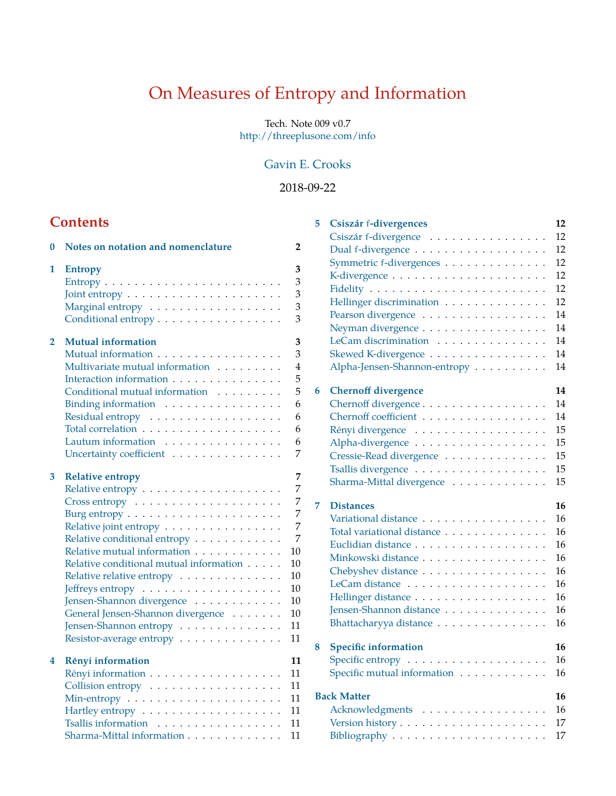# On Measures of Entropy and Information

Tech. Note 009 v0.7 <http://threeplusone.com/info>

# [Gavin E. Crooks](http://threeplusone.com/)

# 2018-09-22

# **Contents**

| 0 | Notes on notation and nomenclature                                    | 2              |
|---|-----------------------------------------------------------------------|----------------|
| 1 | <b>Entropy</b>                                                        | 3<br>3         |
|   | $Entropy \dots \dots \dots \dots \dots \dots \dots \dots \dots \dots$ | 3              |
|   |                                                                       | 3              |
|   | Marginal entropy<br>Conditional entropy                               | 3              |
|   |                                                                       |                |
| 2 | <b>Mutual information</b>                                             | 3              |
|   | Mutual information                                                    | 3              |
|   | Multivariate mutual information                                       | $\overline{4}$ |
|   | Interaction information                                               | 5              |
|   | Conditional mutual information                                        | 5              |
|   | Binding information                                                   | 6              |
|   |                                                                       | 6              |
|   |                                                                       | 6              |
|   | Lautum information                                                    | 6              |
|   | Uncertainty coefficient                                               | $\overline{7}$ |
| 3 | <b>Relative entropy</b>                                               | 7              |
|   |                                                                       | $\overline{7}$ |
|   | $Cross$ entropy $\ldots \ldots \ldots \ldots \ldots \ldots$           | 7              |
|   |                                                                       | 7              |
|   | Relative joint entropy                                                | 7              |
|   | Relative conditional entropy                                          | 7              |
|   | Relative mutual information                                           | 10             |
|   | Relative conditional mutual information                               | 10             |
|   | Relative relative entropy                                             | 10             |
|   |                                                                       | 10             |
|   | Jensen-Shannon divergence                                             | 10             |
|   | General Jensen-Shannon divergence                                     | 10             |
|   | Jensen-Shannon entropy                                                | 11             |
|   | Resistor-average entropy                                              | 11             |
| 4 | Rényi information                                                     | 11             |
|   |                                                                       | 11             |
|   | Collision entropy                                                     | 11             |
|   |                                                                       | 11             |
|   |                                                                       | 11             |
|   | Tsallis information                                                   | 11             |
|   | Sharma-Mittal information                                             | 11             |

| 5 | Csiszár f-divergences        | 12 |
|---|------------------------------|----|
|   | Csiszár f-divergence         | 12 |
|   |                              | 12 |
|   | Symmetric f-divergences      | 12 |
|   |                              | 12 |
|   |                              | 12 |
|   | Hellinger discrimination     | 12 |
|   | Pearson divergence           | 14 |
|   | Neyman divergence            | 14 |
|   | LeCam discrimination         | 14 |
|   | Skewed K-divergence          | 14 |
|   | Alpha-Jensen-Shannon-entropy | 14 |
| 6 | <b>Chernoff divergence</b>   | 14 |
|   | Chernoff divergence          | 14 |
|   | Chernoff coefficient         | 14 |
|   | Rényi divergence             | 15 |
|   | Alpha-divergence             | 15 |
|   | Cressie-Read divergence      | 15 |
|   |                              | 15 |
|   | Sharma-Mittal divergence     | 15 |
| 7 | <b>Distances</b>             | 16 |
|   | Variational distance         | 16 |
|   | Total variational distance   | 16 |
|   |                              | 16 |
|   | Minkowski distance           | 16 |
|   | Chebyshev distance           | 16 |
|   |                              | 16 |
|   |                              | 16 |
|   | Jensen-Shannon distance      | 16 |
|   | Bhattacharyya distance       | 16 |
| 8 | <b>Specific information</b>  | 16 |
|   | Specific entropy             | 16 |
|   | Specific mutual information  | 16 |
|   | <b>Back Matter</b>           | 16 |
|   | Acknowledgments              | 16 |
|   |                              | 17 |
|   |                              | 17 |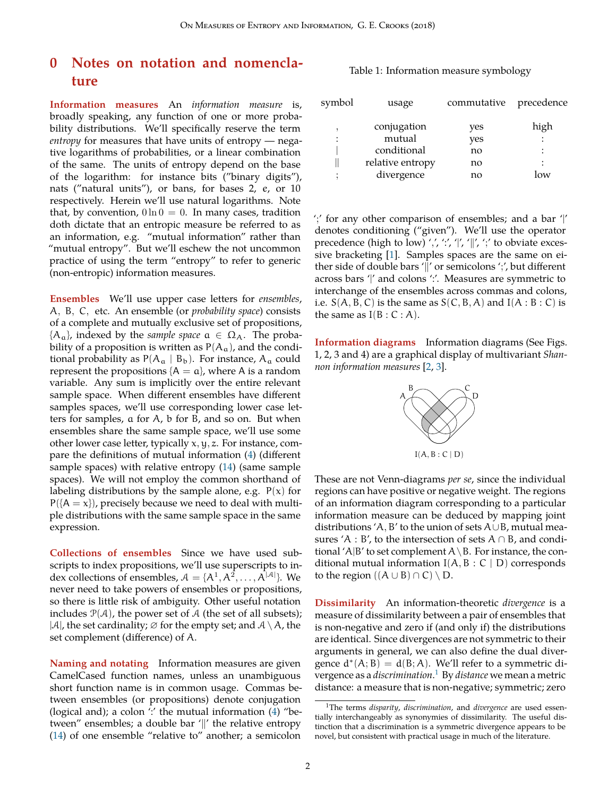# <span id="page-1-2"></span><span id="page-1-0"></span>**0 Notes on notation and nomenclature**

**Information measures** An *information measure* is, broadly speaking, any function of one or more probability distributions. We'll specifically reserve the term *entropy* for measures that have units of entropy — negative logarithms of probabilities, or a linear combination of the same. The units of entropy depend on the base of the logarithm: for instance bits ("binary digits"), nats ("natural units"), or bans, for bases 2, e, or 10 respectively. Herein we'll use natural logarithms. Note that, by convention,  $0 \ln 0 = 0$ . In many cases, tradition doth dictate that an entropic measure be referred to as an information, e.g. "mutual information" rather than "mutual entropy". But we'll eschew the not uncommon practice of using the term "entropy" to refer to generic (non-entropic) information measures.

**Ensembles** We'll use upper case letters for *ensembles*, A, B, C, etc. An ensemble (or *probability space*) consists of a complete and mutually exclusive set of propositions,  ${A_a}$ , indexed by the *sample space*  $a \in \Omega_A$ . The probability of a proposition is written as  $P(A_a)$ , and the conditional probability as  $P(A_a | B_b)$ . For instance,  $A_a$  could represent the propositions  ${A = a}$ , where A is a random variable. Any sum is implicitly over the entire relevant sample space. When different ensembles have different samples spaces, we'll use corresponding lower case letters for samples, a for A, b for B, and so on. But when ensembles share the same sample space, we'll use some other lower case letter, typically x, y, z. For instance, compare the definitions of mutual information [\(4](#page-2-7)) (different sample spaces) with relative entropy [\(14](#page-6-7)) (same sample spaces). We will not employ the common shorthand of labeling distributions by the sample alone, e.g.  $P(x)$  for  $P({A = x})$ , precisely because we need to deal with multiple distributions with the same sample space in the same expression.

**Collections of ensembles** Since we have used subscripts to index propositions, we'll use superscripts to index collections of ensembles,  $A = \{A^1, A^2, \dots, A^{|A|}\}\$ . We never need to take powers of ensembles or propositions, so there is little risk of ambiguity. Other useful notation includes  $P(A)$ , the power set of A (the set of all subsets);  $|A|$ , the set cardinality;  $\varnothing$  for the empty set; and  $A \setminus A$ , the set complement (difference) of A.

**Naming and notating** Information measures are given CamelCased function names, unless an unambiguous short function name is in common usage. Commas between ensembles (or propositions) denote conjugation (logical and); a colon  $'$ : the mutual information  $(4)$  $(4)$  "between" ensembles; a double bar '*∥*' the relative entropy ([14\)](#page-6-7) of one ensemble "relative to" another; a semicolon

#### Table 1: Information measure symbology

| symbol | usage            | commutative | precedence |
|--------|------------------|-------------|------------|
|        | conjugation      | yes         | high       |
| :      | mutual           | yes         |            |
|        | conditional      | no          |            |
|        | relative entropy | no          |            |
|        | divergence       | no          | $\alpha v$ |
|        |                  |             |            |

';' for any other comparison of ensembles; and a bar '|' denotes conditioning ("given"). We'll use the operator precedence (high to low) ',', ':', '|', '|', ';' to obviate excessive bracketing [\[1](#page-16-2)]. Samples spaces are the same on either side of double bars '*∥*' or semicolons ';', but different across bars '|' and colons ':'. Measures are symmetric to interchange of the ensembles across commas and colons, i.e.  $S(A, B, C)$  is the same as  $S(C, B, A)$  and  $I(A : B : C)$  is the same as  $I(B : C : A)$ .

**Information diagrams** Information diagrams (See Figs. 1, 2, 3 and 4) are a graphical display of multivariant *Shannon information measures* [[2,](#page-16-3) [3\]](#page-16-4).



These are not Venn-diagrams *per se*, since the individual regions can have positive or negative weight. The regions of an information diagram corresponding to a particular information measure can be deduced by mapping joint distributions 'A, B' to the union of sets A*∪*B, mutual measures 'A : B', to the intersection of sets A *∩* B, and conditional 'A|B' to set complement  $A \setminus B$ . For instance, the conditional mutual information  $I(A, B : C | D)$  corresponds to the region  $((A \cup B) \cap C) \setminus D$ .

**Dissimilarity** An information-theoretic *divergence* is a measure of dissimilarity between a pair of ensembles that is non-negative and zero if (and only if) the distributions are identical. Since divergences are not symmetric to their arguments in general, we can also define the dual divergence  $d^*(A; B) = d(B; A)$ . We'll refer to a symmetric divergence as a *discrimination*. [1](#page-1-1) By *distance* we mean a metric distance: a measure that is non-negative; symmetric; zero

<span id="page-1-1"></span><sup>1</sup>The terms *disparity*, *discrimination*, and *divergence* are used essentially interchangeably as synonymies of dissimilarity. The useful distinction that a discrimination is a symmetric divergence appears to be novel, but consistent with practical usage in much of the literature.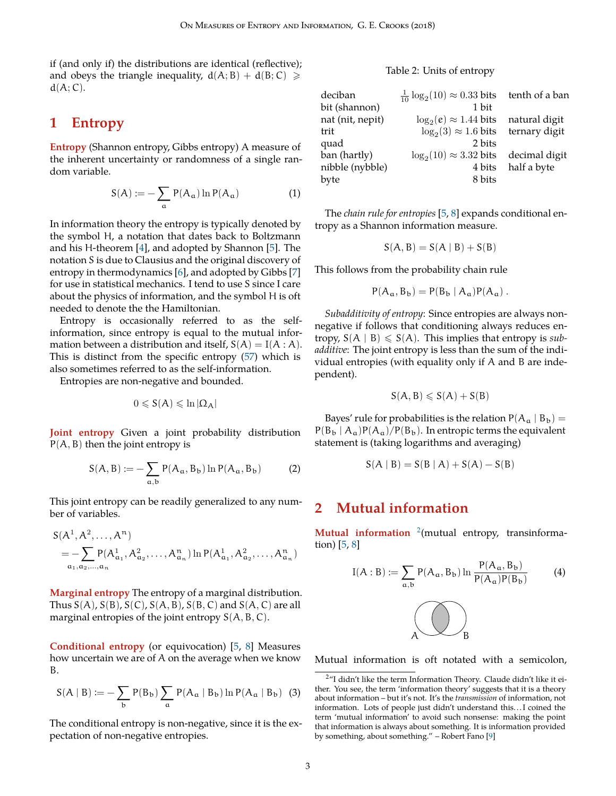<span id="page-2-10"></span>if (and only if) the distributions are identical (reflective); and obeys the triangle inequality,  $d(A; B) + d(B; C) \ge$  $d(A;C)$ .

# <span id="page-2-0"></span>**1 Entropy**

<span id="page-2-1"></span>**Entropy** (Shannon entropy, Gibbs entropy) A measure of the inherent uncertainty or randomness of a single random variable.

$$
S(A) := -\sum_{\alpha} P(A_{\alpha}) \ln P(A_{\alpha}) \tag{1}
$$

In information theory the entropy is typically denoted by the symbol H, a notation that dates back to Boltzmann and his H-theorem [\[4](#page-16-5)], and adopted by Shannon [[5\]](#page-16-6). The notation S is due to Clausius and the original discovery of entropy in thermodynamics [[6\]](#page-16-7), and adopted by Gibbs [[7\]](#page-16-8) for use in statistical mechanics. I tend to use S since I care about the physics of information, and the symbol H is oft needed to denote the the Hamiltonian.

Entropy is occasionally referred to as the selfinformation, since entropy is equal to the mutual information between a distribution and itself,  $S(A) = I(A : A)$ . This is distinct from the specific entropy [\(57\)](#page-15-15) which is also sometimes referred to as the self-information.

Entropies are non-negative and bounded.

$$
0\leqslant S(A)\leqslant \ln |\Omega_A|
$$

<span id="page-2-2"></span>**Joint entropy** Given a joint probability distribution  $P(A, B)$  then the joint entropy is

$$
S(A, B) := -\sum_{a,b} P(A_a, B_b) \ln P(A_a, B_b)
$$
 (2)

This joint entropy can be readily generalized to any number of variables.

$$
S(A^1, A^2, \dots, A^n)
$$
  
= 
$$
- \sum_{\alpha_1, \alpha_2, \dots, \alpha_n} P(A^1_{\alpha_1}, A^2_{\alpha_2}, \dots, A^n_{\alpha_n}) \ln P(A^1_{\alpha_1}, A^2_{\alpha_2}, \dots, A^n_{\alpha_n})
$$

<span id="page-2-3"></span>**Marginal entropy** The entropy of a marginal distribution. Thus  $S(A)$ ,  $S(B)$ ,  $S(C)$ ,  $S(A, B)$ ,  $S(B, C)$  and  $S(A, C)$  are all marginal entropies of the joint entropy  $S(A, B, C)$ .

<span id="page-2-4"></span>**Conditional entropy** (or equivocation) [\[5](#page-16-6), [8](#page-16-9)] Measures how uncertain we are of A on the average when we know B.

$$
S(A \mid B) := -\sum_{b} P(B_{b}) \sum_{a} P(A_{a} \mid B_{b}) \ln P(A_{a} \mid B_{b}) \tag{3}
$$

The conditional entropy is non-negative, since it is the expectation of non-negative entropies.

#### Table 2: Units of entropy

| deciban          | $\frac{1}{10} \log_2(10) \approx 0.33 \text{ bits}$ | tenth of a ban |
|------------------|-----------------------------------------------------|----------------|
| bit (shannon)    | 1 bit                                               |                |
| nat (nit, nepit) | $\log_2(e) \approx 1.44$ bits                       | natural digit  |
| trit             | $log_2(3) \approx 1.6$ bits                         | ternary digit  |
| quad             | 2 bits                                              |                |
| ban (hartly)     | $\log_2(10) \approx 3.32$ bits                      | decimal digit  |
| nibble (nybble)  | 4 bits                                              | half a byte    |
| byte             | 8 bits                                              |                |

<span id="page-2-9"></span>The *chain rule for entropies* [[5,](#page-16-6) [8](#page-16-9)] expands conditional entropy as a Shannon information measure.

$$
S(A, B) = S(A | B) + S(B)
$$

This follows from the probability chain rule

$$
P(A_a, B_b) = P(B_b | A_a)P(A_a) .
$$

*Subadditivity of entropy*: Since entropies are always nonnegative if follows that conditioning always reduces entropy,  $S(A | B) \le S(A)$ . This implies that entropy is *subadditive*: The joint entropy is less than the sum of the individual entropies (with equality only if A and B are independent).

$$
S(A,B)\leqslant S(A)+S(B)
$$

Bayes' rule for probabilities is the relation  $P(A_a | B_b) =$  $P(B_b | A_a)P(A_a)/P(B_b)$ . In entropic terms the equivalent statement is (taking logarithms and averaging)

$$
S(A | B) = S(B | A) + S(A) - S(B)
$$

### <span id="page-2-5"></span>**2 Mutual information**

<span id="page-2-6"></span>Mutual information <sup>[2](#page-2-8)</sup>(mutual entropy, transinformation) [[5,](#page-16-6) [8\]](#page-16-9)

<span id="page-2-7"></span>I(A : B) := ∑ a,b <sup>P</sup>(Aa, <sup>B</sup>b)ln <sup>P</sup>(Aa, <sup>B</sup>b) P(Aa)P(Bb) (4) A B

Mutual information is oft notated with a semicolon,

<span id="page-2-8"></span><sup>&</sup>lt;sup>2</sup>"I didn't like the term Information Theory. Claude didn't like it either. You see, the term 'information theory' suggests that it is a theory about information – but it's not. It's the *transmission* of information, not information. Lots of people just didn't understand this. . . I coined the term 'mutual information' to avoid such nonsense: making the point that information is always about something. It is information provided by something, about something." – Robert Fano [[9\]](#page-16-10)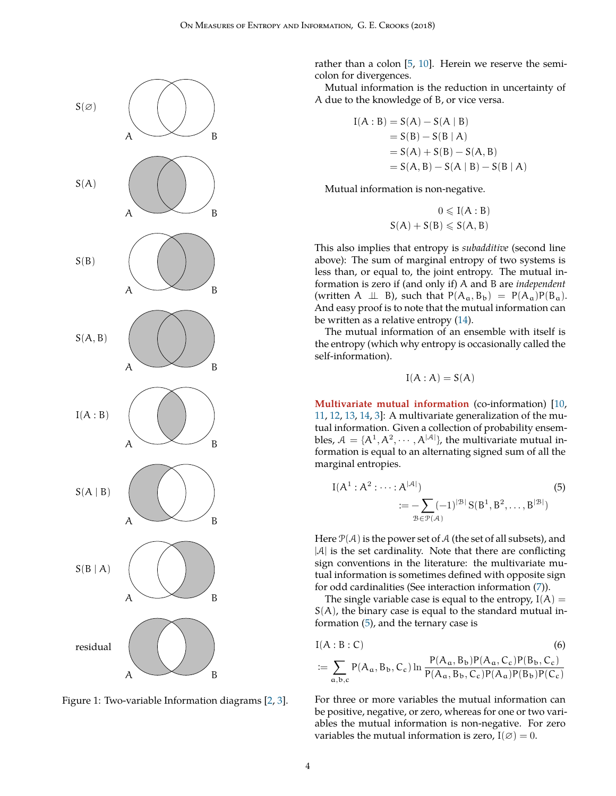<span id="page-3-2"></span>

Figure 1: Two-variable Information diagrams [[2,](#page-16-3) [3\]](#page-16-4).

rather than a colon [\[5](#page-16-6), [10](#page-16-11)]. Herein we reserve the semicolon for divergences.

Mutual information is the reduction in uncertainty of A due to the knowledge of B, or vice versa.

$$
I(A : B) = S(A) - S(A | B)
$$
  
= S(B) - S(B | A)  
= S(A) + S(B) - S(A, B)  
= S(A, B) - S(A | B) - S(B | A)

Mutual information is non-negative.

$$
0 \leqslant I(A:B)
$$
  

$$
S(A) + S(B) \leqslant S(A,B)
$$

This also implies that entropy is *subadditive* (second line above): The sum of marginal entropy of two systems is less than, or equal to, the joint entropy. The mutual information is zero if (and only if) A and B are *independent* (written A  $\perp \!\!\! \perp B$ ), such that  $P(A_a, B_b) = P(A_a)P(B_a)$ . And easy proof is to note that the mutual information can be written as a relative entropy [\(14](#page-6-7)).

The mutual information of an ensemble with itself is the entropy (which why entropy is occasionally called the self-information).

<span id="page-3-1"></span>
$$
I(A : A) = S(A)
$$

<span id="page-3-0"></span>**Multivariate mutual information** (co-information) [\[10](#page-16-11), [11](#page-16-12), [12,](#page-16-13) [13,](#page-16-14) [14,](#page-16-15) [3\]](#page-16-4): A multivariate generalization of the mutual information. Given a collection of probability ensembles,  $A = \{A^1, A^2, \dots, A^{|A|}\}$ , the multivariate mutual information is equal to an alternating signed sum of all the marginal entropies.

$$
I(A1 : A2 : \dots : A|A|)
$$
  

$$
:= -\sum_{\mathcal{B} \in \mathcal{P}(A)} (-1)^{|\mathcal{B}|} S(B1, B2, \dots, B|\mathcal{B}|)
$$
(5)

Here  $\mathcal{P}(\mathcal{A})$  is the power set of  $\mathcal{A}$  (the set of all subsets), and  $|A|$  is the set cardinality. Note that there are conflicting sign conventions in the literature: the multivariate mutual information is sometimes defined with opposite sign for odd cardinalities (See interaction information [\(7](#page-4-2))).

The single variable case is equal to the entropy,  $I(A)$  =  $S(A)$ , the binary case is equal to the standard mutual information ([5\)](#page-3-1), and the ternary case is

$$
I(A:B:C)
$$
\n
$$
:= \sum_{\alpha,b,c} P(A_{\alpha}, B_{b}, C_{c}) \ln \frac{P(A_{\alpha}, B_{b}) P(A_{\alpha}, C_{c}) P(B_{b}, C_{c})}{P(A_{\alpha}, B_{b}, C_{c}) P(A_{\alpha}) P(B_{b}) P(C_{c})}
$$
\n(6)

For three or more variables the mutual information can be positive, negative, or zero, whereas for one or two variables the mutual information is non-negative. For zero variables the mutual information is zero,  $I(\emptyset) = 0$ .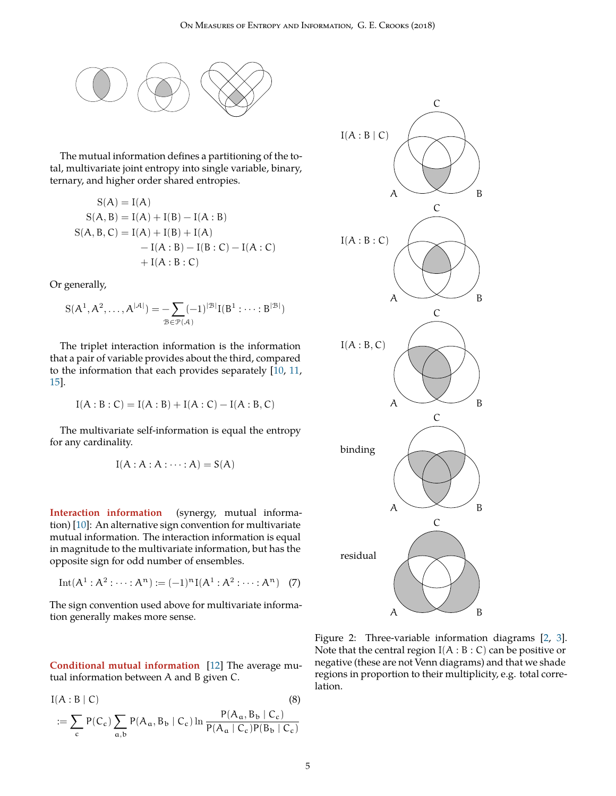<span id="page-4-3"></span>

The mutual information defines a partitioning of the total, multivariate joint entropy into single variable, binary, ternary, and higher order shared entropies.

$$
S(A) = I(A)
$$
  
\n
$$
S(A, B) = I(A) + I(B) - I(A : B)
$$
  
\n
$$
S(A, B, C) = I(A) + I(B) + I(A)
$$
  
\n
$$
- I(A : B) - I(B : C) - I(A : C)
$$
  
\n
$$
+ I(A : B : C)
$$

Or generally,

$$
S(A^1, A^2, \dots, A^{|\mathcal{A}|}) = \sum_{\mathcal{B} \in \mathcal{P}(\mathcal{A})} (-1)^{|\mathcal{B}|} I(B^1 : \dots : B^{|\mathcal{B}|})
$$

The triplet interaction information is the information that a pair of variable provides about the third, compared to the information that each provides separately [[10,](#page-16-11) [11,](#page-16-12) [15\]](#page-16-16).

$$
I(A:B:C) = I(A:B) + I(A:C) - I(A:B,C)
$$

The multivariate self-information is equal the entropy for any cardinality.

$$
I(A:A:A:\cdots:A)=S(A)
$$

<span id="page-4-0"></span>**Interaction information** (synergy, mutual information) [[10\]](#page-16-11): An alternative sign convention for multivariate mutual information. The interaction information is equal in magnitude to the multivariate information, but has the opposite sign for odd number of ensembles.

Int
$$
(A^1 : A^2 : \cdots : A^n) := (-1)^n I(A^1 : A^2 : \cdots : A^n)
$$
 (7)

The sign convention used above for multivariate information generally makes more sense.

<span id="page-4-1"></span>**Conditional mutual information** [[12\]](#page-16-13) The average mutual information between A and B given C.

$$
I(A:B|C)
$$
\n
$$
:= \sum_{c} P(C_c) \sum_{a,b} P(A_a, B_b | C_c) \ln \frac{P(A_a, B_b | C_c)}{P(A_a | C_c) P(B_b | C_c)}
$$
\n(8)



<span id="page-4-2"></span>Figure 2: Three-variable information diagrams [[2,](#page-16-3) [3](#page-16-4)]. Note that the central region  $I(A : B : C)$  can be positive or negative (these are not Venn diagrams) and that we shade regions in proportion to their multiplicity, e.g. total correlation.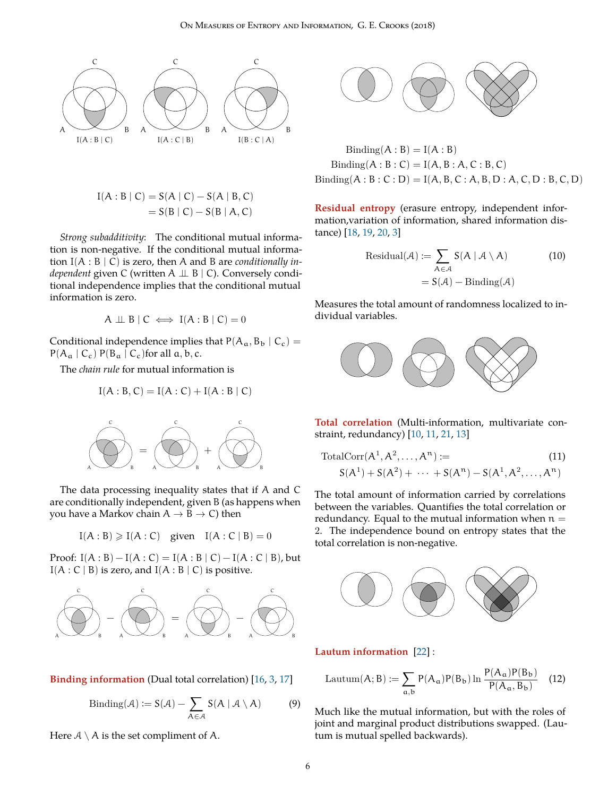<span id="page-5-7"></span>

$$
I(A:B | C) = S(A | C) - S(A | B, C)
$$
  
= S(B | C) - S(B | A, C)

*Strong subadditivity*: The conditional mutual information is non-negative. If the conditional mutual information I(A : B | C) is zero, then A and B are *conditionally independent* given C (written A ⊥ B | C). Conversely conditional independence implies that the conditional mutual information is zero.

$$
A \perp \!\!\!\perp B \mid C \iff I(A:B \mid C) = 0
$$

Conditional independence implies that  $P(A_a, B_b | C_c)$  =  $P(A_a | C_c) P(B_a | C_c)$  for all  $a, b, c$ .

The *chain rule* for mutual information is

$$
I(A:B,C) = I(A:C) + I(A:B|C)
$$



The data processing inequality states that if A and C are conditionally independent, given B (as happens when you have a Markov chain A *→* B *→* C) then

$$
I(A:B) \geqslant I(A:C) \quad given \quad I(A:C \mid B) = 0
$$

Proof:  $I(A : B) - I(A : C) = I(A : B | C) - I(A : C | B)$ , but  $I(A : C | B)$  is zero, and  $I(A : B | C)$  is positive.



<span id="page-5-0"></span>**Binding information** (Dual total correlation) [[16,](#page-16-17) [3,](#page-16-4) [17\]](#page-16-18)

$$
Binding(\mathcal{A}) := S(\mathcal{A}) - \sum_{A \in \mathcal{A}} S(A \mid \mathcal{A} \setminus A)
$$
 (9)

Here  $A \setminus A$  is the set compliment of A.



 $\operatorname{Binding}(A : B) = I(A : B)$  $\text{Binding}(A : B : C) = I(A, B : A, C : B, C)$  $\text{Binding}(A : B : C : D) = I(A, B, C : A, B, D : A, C, D : B, C, D)$ 

<span id="page-5-1"></span>**Residual entropy** (erasure entropy, independent information,variation of information, shared information distance) [\[18](#page-16-19), [19](#page-16-20), [20](#page-16-21), [3](#page-16-4)]

<span id="page-5-6"></span>Residual(*A*) := 
$$
\sum_{A \in \mathcal{A}} S(A | \mathcal{A} \setminus A)
$$
(10)  
=  $S(\mathcal{A})$  – Binding(*A*)

Measures the total amount of randomness localized to individual variables.



<span id="page-5-2"></span>**Total correlation** (Multi-information, multivariate constraint, redundancy) [[10,](#page-16-11) [11,](#page-16-12) [21,](#page-16-22) [13](#page-16-14)]

<span id="page-5-4"></span>TotalCorr(A 1 , A 2 , . . . , A <sup>n</sup>) := (11) S(A 1 ) + S(A 2 ) + *· · ·* + S(A <sup>n</sup>) − S(A 1 , A 2 , . . . , A n)

The total amount of information carried by correlations between the variables. Quantifies the total correlation or redundancy. Equal to the mutual information when  $n =$ 2. The independence bound on entropy states that the total correlation is non-negative.



<span id="page-5-3"></span>**Lautum information** [\[22](#page-17-0)] :

<span id="page-5-5"></span>
$$
Lautum(A; B) := \sum_{a,b} P(A_a)P(B_b) \ln \frac{P(A_a)P(B_b)}{P(A_a, B_b)}
$$
 (12)

Much like the mutual information, but with the roles of joint and marginal product distributions swapped. (Lautum is mutual spelled backwards).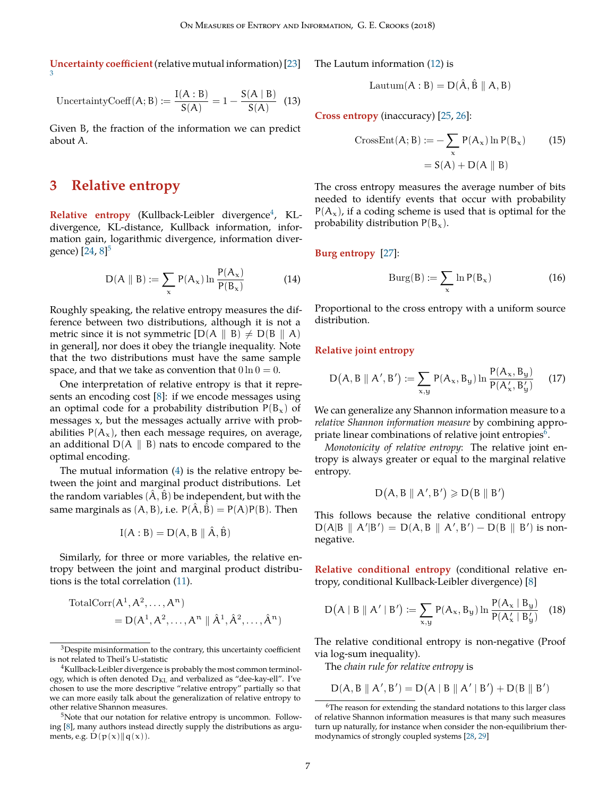<span id="page-6-14"></span><span id="page-6-0"></span>**Uncertainty coefficient** (relative mutual information) [[23\]](#page-17-1) [3](#page-6-8)

UncertaintyCoeff(A; B) := 
$$
\frac{I(A:B)}{S(A)} = 1 - \frac{S(A \mid B)}{S(A)}
$$
 (13)

Given B, the fraction of the information we can predict about A.

### <span id="page-6-1"></span>**3 Relative entropy**

<span id="page-6-2"></span>Relative entropy (Kullback-Leibler divergence<sup>[4](#page-6-9)</sup>, KLdivergence, KL-distance, Kullback information, information gain, logarithmic divergence, information diver-gence) [[24,](#page-17-2) [8\]](#page-16-9)<sup>[5](#page-6-10)</sup>

$$
D(A \parallel B) := \sum_{x} P(A_x) \ln \frac{P(A_x)}{P(B_x)}
$$
(14)

Roughly speaking, the relative entropy measures the difference between two distributions, although it is not a metric since it is not symmetric  $[D(A \parallel B) \neq D(B \parallel A)]$ in general], nor does it obey the triangle inequality. Note that the two distributions must have the same sample space, and that we take as convention that  $0 \ln 0 = 0$ .

One interpretation of relative entropy is that it represents an encoding cost [[8\]](#page-16-9): if we encode messages using an optimal code for a probability distribution  $P(B_x)$  of messages x, but the messages actually arrive with probabilities  $P(A_x)$ , then each message requires, on average, an additional D(A *∥* B) nats to encode compared to the optimal encoding.

The mutual information [\(4](#page-2-7)) is the relative entropy between the joint and marginal product distributions. Let the random variables  $(\hat{A}, \hat{B})$  be independent, but with the same marginals as  $(A, B)$ , i.e.  $P(\hat{A}, \hat{B}) = P(A)P(B)$ . Then

$$
I(A:B)=D(A,B\parallel\hat{A},\hat{B})
$$

Similarly, for three or more variables, the relative entropy between the joint and marginal product distributions is the total correlation ([11\)](#page-5-4).

$$
\begin{aligned} \text{TotalCorr}(A^1, A^2, \dots, A^n) \\ &= D(A^1, A^2, \dots, A^n \parallel \hat{A}^1, \hat{A}^2, \dots, \hat{A}^n) \end{aligned}
$$

The Lautum information [\(12](#page-5-5)) is

$$
\mathrm{Lautum}(A:B)=D(\hat{A},\hat{B}\parallel A,B)
$$

<span id="page-6-12"></span><span id="page-6-3"></span>**Cross entropy** (inaccuracy) [[25](#page-17-3), [26](#page-17-4)]:

CrossEnt(A; B) := 
$$
-\sum_{x} P(A_x) \ln P(B_x)
$$
 (15)  
= S(A) + D(A || B)

The cross entropy measures the average number of bits needed to identify events that occur with probability  $P(A_x)$ , if a coding scheme is used that is optimal for the probability distribution  $P(B_x)$ .

<span id="page-6-7"></span><span id="page-6-4"></span>**Burg entropy** [\[27](#page-17-5)]:

<span id="page-6-13"></span>
$$
Burg(B) := \sum_{x} \ln P(B_x)
$$
 (16)

Proportional to the cross entropy with a uniform source distribution.

#### <span id="page-6-5"></span>**Relative joint entropy**

$$
D(A, B \parallel A', B') := \sum_{x,y} P(A_x, B_y) \ln \frac{P(A_x, B_y)}{P(A'_x, B'_y)}
$$
(17)

We can generalize any Shannon information measure to a *relative Shannon information measure* by combining appropriate linear combinations of relative joint entropies $^6$  $^6$ .

*Monotonicity of relative entropy*: The relative joint entropy is always greater or equal to the marginal relative entropy.

$$
D\big(A,B\parallel A',B'\big)\geqslant D\big(B\parallel B'\big)
$$

This follows because the relative conditional entropy  $D(A|B \parallel A'|B') = D(A, B \parallel A', B') - D(B \parallel B')$  is nonnegative.

<span id="page-6-6"></span>**Relative conditional entropy** (conditional relative entropy, conditional Kullback-Leibler divergence) [\[8](#page-16-9)]

$$
D(A | B || A' | B') := \sum_{x,y} P(A_x, B_y) \ln \frac{P(A_x | B_y)}{P(A'_x | B'_y)}
$$
(18)

The relative conditional entropy is non-negative (Proof via log-sum inequality).

The *chain rule for relative entropy* is

 $D(A, B \parallel A', B') = D(A \mid B \parallel A' \mid B') + D(B \parallel B')$ 

<span id="page-6-8"></span><sup>3</sup>Despite misinformation to the contrary, this uncertainty coefficient is not related to Theil's U-statistic

<span id="page-6-9"></span><sup>&</sup>lt;sup>4</sup>Kullback-Leibler divergence is probably the most common terminology, which is often denoted  $D_{KL}$  and verbalized as "dee-kay-ell". I've chosen to use the more descriptive "relative entropy" partially so that we can more easily talk about the generalization of relative entropy to other relative Shannon measures.

<span id="page-6-10"></span><sup>&</sup>lt;sup>5</sup>Note that our notation for relative entropy is uncommon. Following [[8\]](#page-16-9), many authors instead directly supply the distributions as arguments, e.g. D(p(x)*∥*q(x)).

<span id="page-6-11"></span> $6$ The reason for extending the standard notations to this larger class of relative Shannon information measures is that many such measures turn up naturally, for instance when consider the non-equilibrium thermodynamics of strongly coupled systems [[28,](#page-17-6) [29\]](#page-17-7)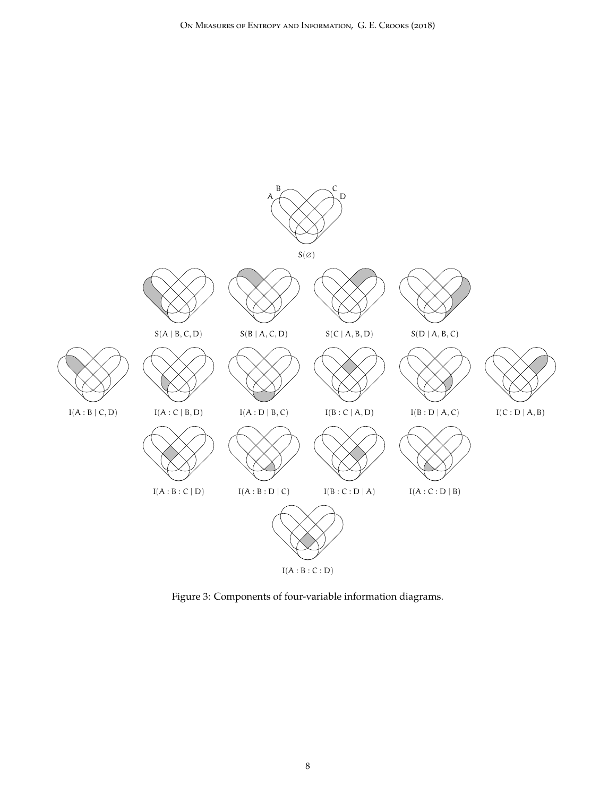

Figure 3: Components of four-variable information diagrams.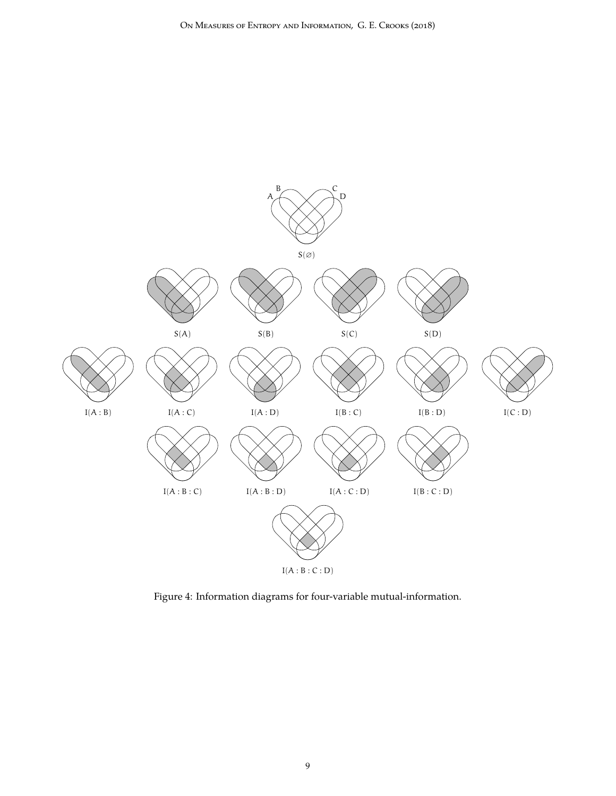

Figure 4: Information diagrams for four-variable mutual-information.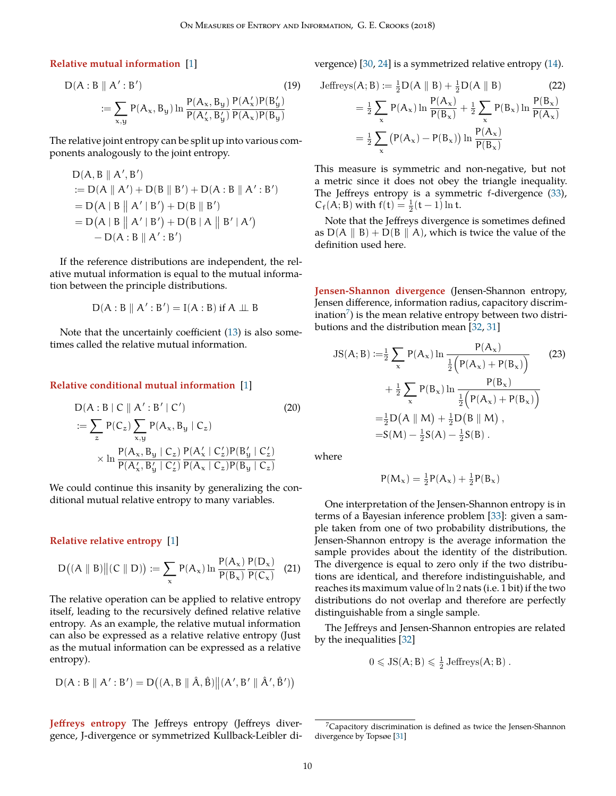<span id="page-9-8"></span><span id="page-9-0"></span>**Relative mutual information** [[1\]](#page-16-2)

D(A : B || A' : B') (19)  

$$
:= \sum_{x,y} P(A_x, B_y) \ln \frac{P(A_x, B_y)}{P(A'_x, B'_y)} \frac{P(A'_x)P(B'_y)}{P(A_x)P(B_y)}
$$

The relative joint entropy can be split up into various components analogously to the joint entropy.

D(A, B *∥* A *′* , B *′* ) := D(A *∥* A *′* ) + D(B *∥* B *′* ) + D(A : B *∥* A *′* : B *′* ) = D ( A | B A *′* | B *′* ) + D(B *∥* B *′* ) = D ( A | B A *′* | B *′* ) + D ( B | A B *′* | A *′* ) − D(A : B *∥* A *′* : B *′* )

If the reference distributions are independent, the relative mutual information is equal to the mutual information between the principle distributions.

$$
D(A:B \parallel A':B') = I(A:B) \text{ if } A \perp \!\!\! \perp B
$$

Note that the uncertainly coefficient ([13](#page-6-12)) is also sometimes called the relative mutual information.

#### <span id="page-9-1"></span>**Relative conditional mutual information** [\[1](#page-16-2)]

$$
D(A:B \mid C \parallel A': B' \mid C')
$$
\n
$$
:= \sum_{z} P(C_z) \sum_{x,y} P(A_x, B_y \mid C_z)
$$
\n
$$
\times \ln \frac{P(A_x, B_y \mid C_z)}{P(A'_x, B'_y \mid C'_z)} \frac{P(A'_x \mid C'_z) P(B'_y \mid C'_z)}{P(A_x \mid C_z) P(B_y \mid C_z)}
$$
\n(20)

We could continue this insanity by generalizing the conditional mutual relative entropy to many variables.

<span id="page-9-2"></span>**Relative relative entropy** [[1](#page-16-2)]

$$
D((A \parallel B) \| (C \parallel D)) := \sum_{x} P(A_x) \ln \frac{P(A_x)}{P(B_x)} \frac{P(D_x)}{P(C_x)} \quad (21)
$$

The relative operation can be applied to relative entropy itself, leading to the recursively defined relative relative entropy. As an example, the relative mutual information can also be expressed as a relative relative entropy (Just as the mutual information can be expressed as a relative entropy).

$$
D(A:B\parallel A':B')=D\big((A,B\parallel \hat{A},\hat{B})\big\|(A',B'\parallel \hat{A}',\hat{B}')\big)
$$

<span id="page-9-3"></span>**Jeffreys entropy** The Jeffreys entropy (Jeffreys divergence, J-divergence or symmetrized Kullback-Leibler divergence) [[30,](#page-17-8) [24\]](#page-17-2) is a symmetrized relative entropy ([14\)](#page-6-7).

<span id="page-9-6"></span>Jeffreys(A; B) := 
$$
\frac{1}{2}
$$
D(A || B) +  $\frac{1}{2}$ D(A || B) (22)  
\n
$$
= \frac{1}{2} \sum_{x} P(A_x) \ln \frac{P(A_x)}{P(B_x)} + \frac{1}{2} \sum_{x} P(B_x) \ln \frac{P(B_x)}{P(A_x)}
$$
\n
$$
= \frac{1}{2} \sum_{x} (P(A_x) - P(B_x)) \ln \frac{P(A_x)}{P(B_x)}
$$

This measure is symmetric and non-negative, but not a metric since it does not obey the triangle inequality. The Jeffreys entropy is a symmetric f-divergence ([33\)](#page-11-6),  $C_f(A; B)$  with  $f(t) = \frac{1}{2}(t - 1) \ln t$ .

Note that the Jeffreys divergence is sometimes defined as  $D(A \parallel B) + D(B \parallel A)$ , which is twice the value of the definition used here.

<span id="page-9-4"></span>**Jensen-Shannon divergence** (Jensen-Shannon entropy, Jensen difference, information radius, capacitory discrim-ination<sup>[7](#page-9-5)</sup>) is the mean relative entropy between two distributions and the distribution mean [\[32](#page-17-9), [31](#page-17-10)]

$$
JS(A; B) := \frac{1}{2} \sum_{x} P(A_x) \ln \frac{P(A_x)}{\frac{1}{2} (P(A_x) + P(B_x))} + \frac{1}{2} \sum_{x} P(B_x) \ln \frac{P(B_x)}{\frac{1}{2} (P(A_x) + P(B_x))} = \frac{1}{2} D(A || M) + \frac{1}{2} D(B || M),
$$
  
=  $S(M) - \frac{1}{2} S(A) - \frac{1}{2} S(B).$  (23)

where

<span id="page-9-7"></span>
$$
P(M_{\mathbf{x}}) = \frac{1}{2}P(A_{\mathbf{x}}) + \frac{1}{2}P(B_{\mathbf{x}})
$$

One interpretation of the Jensen-Shannon entropy is in terms of a Bayesian inference problem [\[33](#page-17-11)]: given a sample taken from one of two probability distributions, the Jensen-Shannon entropy is the average information the sample provides about the identity of the distribution. The divergence is equal to zero only if the two distributions are identical, and therefore indistinguishable, and reaches its maximum value of ln 2 nats (i.e. 1 bit) if the two distributions do not overlap and therefore are perfectly distinguishable from a single sample.

The Jeffreys and Jensen-Shannon entropies are related by the inequalities [[32\]](#page-17-9)

$$
0 \leqslant JS(A; B) \leqslant \frac{1}{2}
$$
 Jeffreys $(A; B)$ .

<span id="page-9-5"></span> $7$ Capacitory discrimination is defined as twice the Jensen-Shannon divergence by Topsøe [[31](#page-17-10)]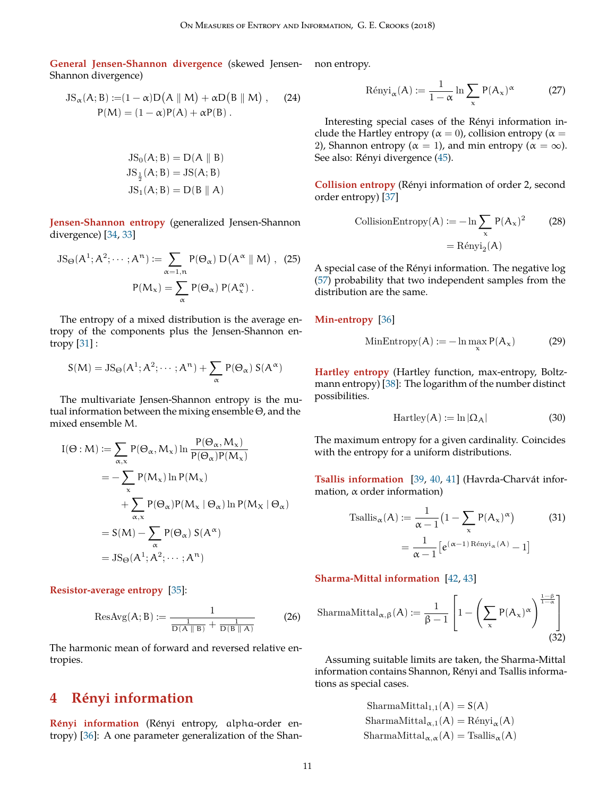<span id="page-10-10"></span><span id="page-10-0"></span>**General Jensen-Shannon divergence** (skewed Jensen-non entropy. Shannon divergence)

$$
JS_{\alpha}(A; B) := (1 - \alpha)D(A || M) + \alpha D(B || M), \qquad (24)
$$
  
 
$$
P(M) = (1 - \alpha)P(A) + \alpha P(B).
$$

$$
JS0(A; B) = D(A || B)
$$
  
\n
$$
JS\frac{1}{2}(A; B) = JS(A; B)
$$
  
\n
$$
JS1(A; B) = D(B || A)
$$

<span id="page-10-1"></span>**Jensen-Shannon entropy** (generalized Jensen-Shannon divergence) [[34,](#page-17-12) [33\]](#page-17-11)

$$
JS_{\Theta}(A^{1}; A^{2}; \cdots; A^{n}) := \sum_{\alpha=1, n} P(\Theta_{\alpha}) D(A^{\alpha} \parallel M), (25)
$$

$$
P(M_{\alpha}) = \sum_{\alpha} P(\Theta_{\alpha}) P(A_{\alpha}^{\alpha}).
$$

The entropy of a mixed distribution is the average entropy of the components plus the Jensen-Shannon entropy [\[31](#page-17-10)] :

$$
S(M) = JS_{\Theta}(A^{1}; A^{2}; \cdots; A^{n}) + \sum_{\alpha} P(\Theta_{\alpha}) S(A^{\alpha})
$$

The multivariate Jensen-Shannon entropy is the mutual information between the mixing ensemble Θ, and the mixed ensemble M.

$$
I(\Theta : M) := \sum_{\alpha, x} P(\Theta_{\alpha}, M_{\alpha}) \ln \frac{P(\Theta_{\alpha}, M_{\alpha})}{P(\Theta_{\alpha})P(M_{\alpha})}
$$
  
= 
$$
- \sum_{x} P(M_{x}) \ln P(M_{x})
$$
  
+ 
$$
\sum_{\alpha, x} P(\Theta_{\alpha})P(M_{x} | \Theta_{\alpha}) \ln P(M_{X} | \Theta_{\alpha})
$$
  
= 
$$
S(M) - \sum_{\alpha} P(\Theta_{\alpha}) S(A^{\alpha})
$$
  
= 
$$
JS_{\Theta}(A^{1}; A^{2}; \dots; A^{n})
$$

<span id="page-10-2"></span>**Resistor-average entropy** [\[35](#page-17-13)]:

$$
\text{ResAvg}(A; B) := \frac{1}{\frac{1}{D(A \parallel B)} + \frac{1}{D(B \parallel A)}}\tag{26}
$$

The harmonic mean of forward and reversed relative entropies.

# <span id="page-10-3"></span>**4 Renyi information ´**

<span id="page-10-4"></span>**Rényi information** (Rényi entropy, alpha-order entropy) [[36\]](#page-17-14): A one parameter generalization of the Shan-

$$
R\acute{e}nyi_{\alpha}(A) := \frac{1}{1-\alpha}\ln\sum_{x} P(A_{x})^{\alpha}
$$
 (27)

Interesting special cases of the Rényi information include the Hartley entropy ( $\alpha = 0$ ), collision entropy ( $\alpha = 0$ 2), Shannon entropy ( $\alpha = 1$ ), and min entropy ( $\alpha = \infty$ ). See also: Rényi divergence ([45](#page-14-5)).

<span id="page-10-5"></span>**Collision entropy** (Rényi information of order 2, second order entropy) [\[37](#page-17-15)]

CollisionEntropy(A) := 
$$
-\ln \sum_{x} P(A_x)^2
$$
 (28)  
=  $R \text{ényi}_2(A)$ 

A special case of the Rényi information. The negative log [\(57](#page-15-15)) probability that two independent samples from the distribution are the same.

#### <span id="page-10-6"></span>**Min-entropy** [\[36](#page-17-14)]

MinEntropy(A) := 
$$
-\ln \max_{x} P(A_x)
$$
 (29)

<span id="page-10-7"></span>**Hartley entropy** (Hartley function, max-entropy, Boltzmann entropy) [\[38](#page-17-16)]: The logarithm of the number distinct possibilities.

$$
Hartley(A) := \ln |\Omega_A| \tag{30}
$$

The maximum entropy for a given cardinality. Coincides with the entropy for a uniform distributions.

<span id="page-10-8"></span>Tsallis information [[39,](#page-17-17) [40,](#page-17-18) [41\]](#page-17-19) (Havrda-Charvát information, α order information)

Tsallis<sub>$$
\alpha
$$</sub>(A) :=  $\frac{1}{\alpha - 1} \left( 1 - \sum_{x} P(A_x)^{\alpha} \right)$  (31)  
=  $\frac{1}{\alpha - 1} \left[ e^{(\alpha - 1) \operatorname{Re}_{\alpha}(A)} - 1 \right]$ 

<span id="page-10-9"></span>**Sharma-Mittal information** [[42,](#page-17-20) [43](#page-17-21)]

$$
\mathrm{SharmaMittal}_{\alpha,\beta}(A) := \frac{1}{\beta-1}\left[1-\left(\sum_{x}P(A_x)^{\alpha}\right)^{\frac{1-\beta}{1-\alpha}}\right] \tag{32}
$$

Assuming suitable limits are taken, the Sharma-Mittal information contains Shannon, Rényi and Tsallis informations as special cases.

> $SharmaMittal_{1,1}(A) = S(A)$ SharmaMittal<sub>α,1</sub>(A) = Rényi<sub>α</sub>(A)  $SharmaMittal_{\alpha,\alpha}(A) = Tsallis_{\alpha}(A)$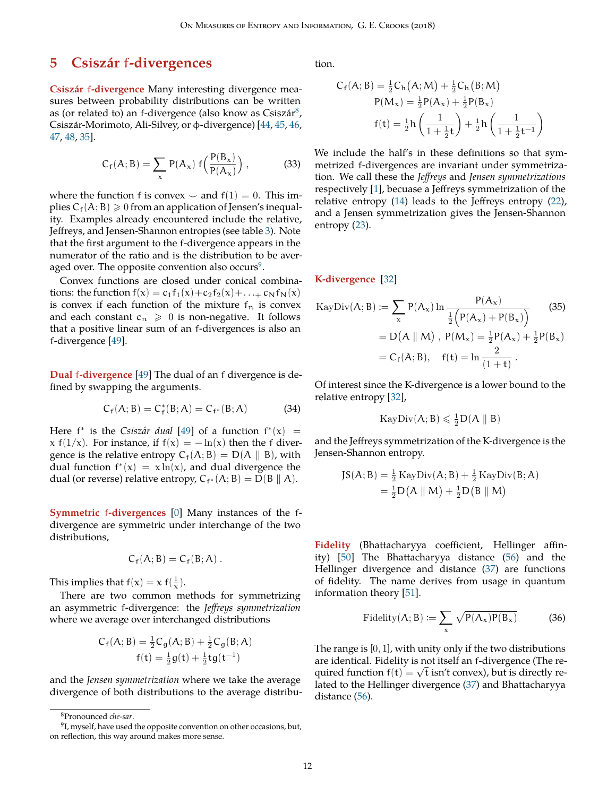# <span id="page-11-10"></span><span id="page-11-0"></span>**5 Csiszar´** f**-divergences**

<span id="page-11-1"></span>**Csiszar´** f**-divergence** Many interesting divergence measures between probability distributions can be written as (or related to) an f-divergence (also know as Csiszár $^8$  $^8$ , Csiszár-Morimoto, Ali-Silvey, or φ-divergence) [[44,](#page-17-22) [45](#page-17-23), [46,](#page-17-24) [47,](#page-17-25) [48,](#page-17-26) [35](#page-17-13)].

<span id="page-11-6"></span>
$$
C_f(A;B) = \sum_{x} P(A_x) f\left(\frac{P(B_x)}{P(A_x)}\right), \qquad (33)
$$

where the function f is convex  $\sim$  and f(1) = 0. This implies  $C_f(A; B) \geq 0$  from an application of Jensen's inequality. Examples already encountered include the relative, Jeffreys, and Jensen-Shannon entropies (see table [3\)](#page-12-0). Note that the first argument to the f-divergence appears in the numerator of the ratio and is the distribution to be averaged over. The opposite convention also occurs $^9$  $^9$ .

Convex functions are closed under conical combinations: the function  $f(x) = c_1f_1(x) + c_2f_2(x) + ... + c_Nf_N(x)$ is convex if each function of the mixture  $f_n$  is convex and each constant  $c_n \geq 0$  is non-negative. It follows that a positive linear sum of an f-divergences is also an f-divergence [[49\]](#page-17-27).

<span id="page-11-2"></span>**Dual** f**-divergence** [[49\]](#page-17-27) The dual of an f divergence is defined by swapping the arguments.

$$
C_f(A; B) = C_f^*(B; A) = C_{f^*}(B; A)
$$
 (34)

Here  $f^*$  is the *Csiszár dual* [[49\]](#page-17-27) of a function  $f^*(x) =$ x f(1/x). For instance, if  $f(x) = -\ln(x)$  then the f divergence is the relative entropy  $C_f(A; B) = D(A \| B)$ , with dual function  $f^*(x) = x \ln(x)$ , and dual divergence the dual (or reverse) relative entropy,  $C_{f^*}(A;B) = D(B || A)$ .

<span id="page-11-3"></span>**Symmetric** f**-divergences** [\[0](#page-16-23)] Many instances of the fdivergence are symmetric under interchange of the two distributions,

$$
C_f(A;B) = C_f(B;A) .
$$

This implies that  $f(x) = x f(\frac{1}{x})$ .

There are two common methods for symmetrizing an asymmetric f-divergence: the *Jeffreys symmetrization* where we average over interchanged distributions

$$
C_f(A;B) = \frac{1}{2}C_g(A;B) + \frac{1}{2}C_g(B;A)
$$
  
 
$$
f(t) = \frac{1}{2}g(t) + \frac{1}{2}tg(t^{-1})
$$

and the *Jensen symmetrization* where we take the average divergence of both distributions to the average distribution.

$$
C_{f}(A; B) = \frac{1}{2}C_{h}(A; M) + \frac{1}{2}C_{h}(B; M)
$$
  
\n
$$
P(M_{x}) = \frac{1}{2}P(A_{x}) + \frac{1}{2}P(B_{x})
$$
  
\n
$$
f(t) = \frac{1}{2}h\left(\frac{1}{1 + \frac{1}{2}t}\right) + \frac{1}{2}h\left(\frac{1}{1 + \frac{1}{2}t^{-1}}\right)
$$

We include the half's in these definitions so that symmetrized f-divergences are invariant under symmetrization. We call these the *Jeffreys* and *Jensen symmetrizations* respectively [\[1](#page-16-2)], becuase a Jeffreys symmetrization of the relative entropy [\(14](#page-6-7)) leads to the Jeffreys entropy ([22\)](#page-9-6), and a Jensen symmetrization gives the Jensen-Shannon entropy [\(23](#page-9-7)).

<span id="page-11-4"></span>**K-divergence** [[32](#page-17-9)]

$$
\begin{aligned} \text{KayDiv}(A; B) &:= \sum_{x} P(A_x) \ln \frac{P(A_x)}{\frac{1}{2} \left( P(A_x) + P(B_x) \right)} \qquad (35) \\ &= D(A \parallel M) \text{ , } P(M_x) = \frac{1}{2} P(A_x) + \frac{1}{2} P(B_x) \\ &= C_f(A; B), \quad f(t) = \ln \frac{2}{(1+t)} \text{ .} \end{aligned}
$$

Of interest since the K-divergence is a lower bound to the relative entropy [\[32](#page-17-9)],

<span id="page-11-9"></span>
$$
\text{KayDiv}(A; B) \leqslant \frac{1}{2} D(A \parallel B)
$$

and the Jeffreys symmetrization of the K-divergence is the Jensen-Shannon entropy.

$$
JS(A; B) = \frac{1}{2} \operatorname{KayDiv}(A; B) + \frac{1}{2} \operatorname{KayDiv}(B; A)
$$

$$
= \frac{1}{2} D(A || M) + \frac{1}{2} D(B || M)
$$

<span id="page-11-5"></span>**Fidelity** (Bhattacharyya coefficient, Hellinger affinity) [\[50](#page-17-28)] The Bhattacharyya distance ([56\)](#page-15-16) and the Hellinger divergence and distance ([37\)](#page-13-9) are functions of fidelity. The name derives from usage in quantum information theory [[51\]](#page-17-29).

$$
\text{Fidelity}(A; B) := \sum_{x} \sqrt{P(A_x)P(B_x)} \tag{36}
$$

The range is  $[0, 1]$ , with unity only if the two distributions are identical. Fidelity is not itself an f-divergence (The required function  $f(t) = \sqrt{t}$  isn't convex), but is directly related to the Hellinger divergence ([37\)](#page-13-9) and Bhattacharyya distance [\(56](#page-15-16)).

<span id="page-11-8"></span><span id="page-11-7"></span><sup>8</sup>Pronounced *che-sar*.

 $^{9}$ I, myself, have used the opposite convention on other occasions, but, on reflection, this way around makes more sense.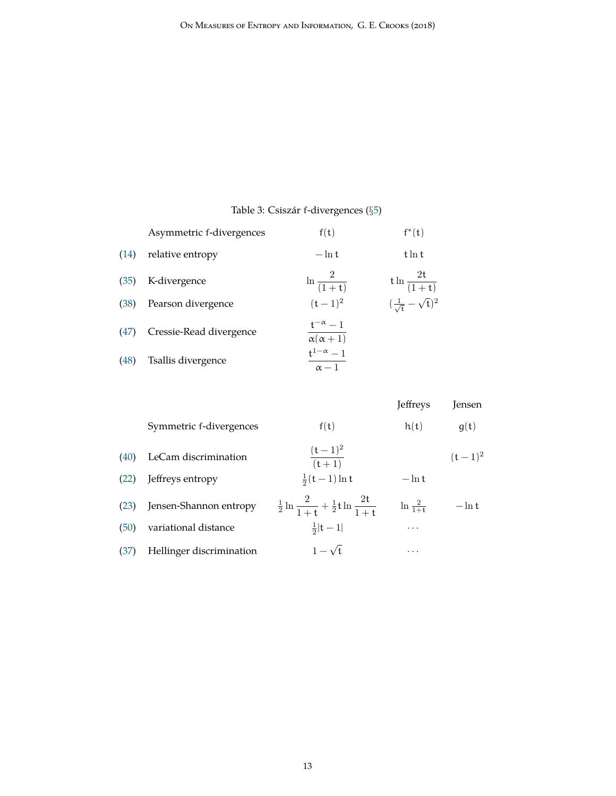## <span id="page-12-0"></span>Table 3: Csiszar´ f-divergences (*§*[5](#page-11-0))

|      | Asymmetric f-divergences | f(t)                                      | $f^*(t)$                                     |
|------|--------------------------|-------------------------------------------|----------------------------------------------|
| (14) | relative entropy         | $-\ln t$                                  | $t \ln t$                                    |
| (35) | K-divergence             | $\ln \frac{2}{(1+t)}$                     | $t \ln \frac{2t}{(1+t)}$                     |
| (38) | Pearson divergence       | $(t-1)^2$                                 | $\left(\frac{1}{\sqrt{t}}-\sqrt{t}\right)^2$ |
| (47) | Cressie-Read divergence  | $\frac{t^{-\alpha}-1}{\alpha(\alpha+1)}$  |                                              |
| (48) | Tsallis divergence       | $\mathsf{t}^{1-\alpha}-1$<br>$\alpha - 1$ |                                              |

|      |                          |                                                                    | Jeffreys            | Jensen    |
|------|--------------------------|--------------------------------------------------------------------|---------------------|-----------|
|      | Symmetric f-divergences  | f(t)                                                               | h(t)                | g(t)      |
| (40) | LeCam discrimination     | $\frac{(t-1)^2}{(t+1)}$                                            |                     | $(t-1)^2$ |
| (22) | Jeffreys entropy         | $\frac{1}{2}(t-1) \ln t$                                           | $-\ln t$            |           |
| (23) | Jensen-Shannon entropy   | $\frac{1}{2} \ln \frac{2}{1+t} + \frac{1}{2} t \ln \frac{2t}{1+t}$ | $\ln \frac{2}{1+t}$ | $-\ln t$  |
| (50) | variational distance     | $rac{1}{2} t-1 $                                                   | $\cdots$            |           |
| (37) | Hellinger discrimination | $1-\sqrt{t}$                                                       | $\cdots$            |           |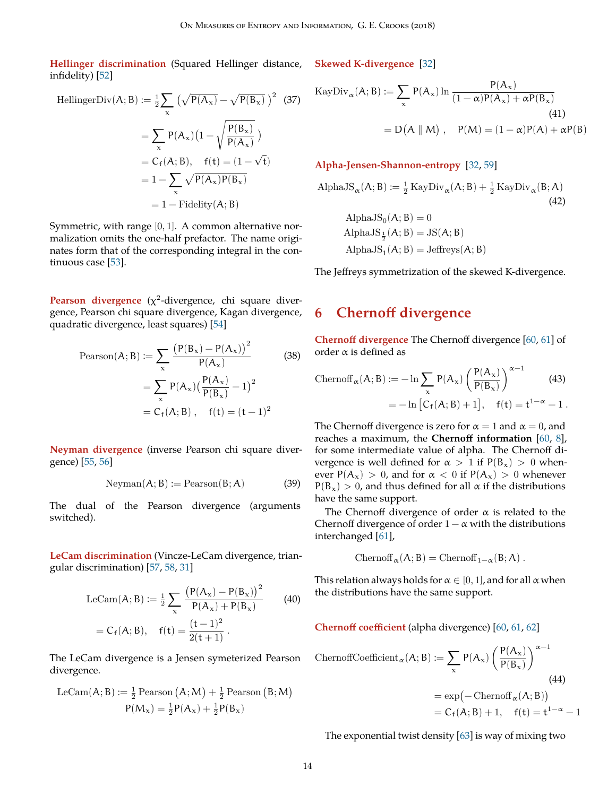<span id="page-13-12"></span><span id="page-13-0"></span>**Hellinger discrimination** (Squared Hellinger distance, infidelity) [[52\]](#page-17-30)

HellingerDiv(A; B) := 
$$
\frac{1}{2} \sum_{x} (\sqrt{P(A_x)} - \sqrt{P(B_x)})^2
$$
 (37)  
\n
$$
= \sum_{x} P(A_x) (1 - \sqrt{\frac{P(B_x)}{P(A_x)}})
$$
\n
$$
= C_f(A; B), \quad f(t) = (1 - \sqrt{t})
$$
\n
$$
= 1 - \sum_{x} \sqrt{P(A_x)P(B_x)}
$$
\n
$$
= 1 - Fidelity(A; B)
$$

Symmetric, with range [0, 1]. A common alternative normalization omits the one-half prefactor. The name originates form that of the corresponding integral in the continuous case [[53\]](#page-17-31).

<span id="page-13-1"></span>**Pearson divergence** (χ<sup>2</sup>-divergence, chi square divergence, Pearson chi square divergence, Kagan divergence, quadratic divergence, least squares) [\[54](#page-17-32)]

Pearson(A; B) := 
$$
\sum_{x} \frac{(P(B_x) - P(A_x))^2}{P(A_x)}
$$
(38)  
= 
$$
\sum_{x} P(A_x) \left(\frac{P(A_x)}{P(B_x)} - 1\right)^2
$$
  
= 
$$
C_f(A; B), \quad f(t) = (t - 1)^2
$$

<span id="page-13-2"></span>**Neyman divergence** (inverse Pearson chi square divergence) [[55,](#page-18-0) [56\]](#page-18-1)

$$
Neyman(A; B) := Pearson(B; A)
$$
 (39)

The dual of the Pearson divergence (arguments switched).

<span id="page-13-3"></span>**LeCam discrimination** (Vincze-LeCam divergence, triangular discrimination) [[57,](#page-18-2) [58,](#page-18-3) [31\]](#page-17-10)

$$
\text{LeCam}(A; B) := \frac{1}{2} \sum_{x} \frac{\left(P(A_x) - P(B_x)\right)^2}{P(A_x) + P(B_x)} \qquad (40)
$$
\n
$$
= C_f(A; B), \quad f(t) = \frac{(t-1)^2}{2(t+1)}.
$$

The LeCam divergence is a Jensen symeterized Pearson divergence.

$$
\begin{aligned} \mathrm{LeCam}(A;B) \mathrel{\mathop:}= \tfrac{1}{2} \,\mathrm{Pearson}\left(A;M\right) + \tfrac{1}{2} \,\mathrm{Pearson}\left(B;M\right) \\ P(M_x) = \tfrac{1}{2} P(A_x) + \tfrac{1}{2} P(B_x) \end{aligned}
$$

<span id="page-13-4"></span>**Skewed K-divergence** [\[32](#page-17-9)]

<span id="page-13-9"></span>
$$
\begin{aligned} \text{KayDiv}_{\alpha}(A; B) &:= \sum_{x} P(A_x) \ln \frac{P(A_x)}{(1 - \alpha)P(A_x) + \alpha P(B_x)} \\ &= D(A \parallel M) \,, \quad P(M) = (1 - \alpha)P(A) + \alpha P(B) \end{aligned} \tag{41}
$$

#### <span id="page-13-5"></span>**Alpha-Jensen-Shannon-entropy** [\[32](#page-17-9), [59](#page-18-4)]

AlphaJS<sub>$$
\alpha
$$</sub>(A; B) :=  $\frac{1}{2}$ KayDiv <sub>$\alpha$</sub> (A; B) +  $\frac{1}{2}$ KayDiv <sub>$\alpha$</sub> (B; A)  
(42)  
AlphaJS<sub>0</sub>(A; B) = 0  
AlphaJS <sub>$\frac{1}{2}$</sub> (A; B) = JS(A; B)  
AlphaJS<sub>1</sub>(A; B) = Jeffreys(A; B)

The Jeffreys symmetrization of the skewed K-divergence.

# <span id="page-13-6"></span>**6 Chernoff divergence**

<span id="page-13-10"></span><span id="page-13-7"></span>**Chernoff divergence** The Chernoff divergence [\[60,](#page-18-5) [61\]](#page-18-6) of order  $\alpha$  is defined as

$$
\begin{aligned} \text{Chernoff}_{\alpha}(A;B) &:= -\ln \sum_{x} P(A_x) \left(\frac{P(A_x)}{P(B_x)}\right)^{\alpha - 1} \qquad (43) \\ &= -\ln \left[C_f(A;B) + 1\right], \quad f(t) = t^{1 - \alpha} - 1 \,. \end{aligned}
$$

The Chernoff divergence is zero for  $\alpha = 1$  and  $\alpha = 0$ , and reaches a maximum, the **Chernoff information** [\[60](#page-18-5), [8\]](#page-16-9), for some intermediate value of alpha. The Chernoff divergence is well defined for  $\alpha > 1$  if  $P(B_x) > 0$  whenever  $P(A_x) > 0$ , and for  $\alpha < 0$  if  $P(A_x) > 0$  whenever  $P(B_x) > 0$ , and thus defined for all  $\alpha$  if the distributions have the same support.

The Chernoff divergence of order  $\alpha$  is related to the Chernoff divergence of order  $1 - \alpha$  with the distributions interchanged [[61\]](#page-18-6),

$$
Chernoff_{\alpha}(A;B) = Chernoff_{1-\alpha}(B;A) .
$$

<span id="page-13-11"></span>This relation always holds for  $\alpha \in [0,1]$ , and for all  $\alpha$  when the distributions have the same support.

<span id="page-13-8"></span>**Chernoff coefficient** (alpha divergence) [\[60](#page-18-5), [61](#page-18-6), [62](#page-18-7)] ChernoffCoefficient<sub>α</sub> $(A; B) := \sum$ x  $P(A_x)$  $(P(A_x))$  $P(B_x)$  $\lambda^{\alpha-1}$ (44)  $= \exp(-\text{Chernoff}_{\alpha}(A; B))$ 

The exponential twist density [\[63](#page-18-8)] is way of mixing two

 $=C_f(A; B) + 1$ ,  $f(t) = t^{1-\alpha} - 1$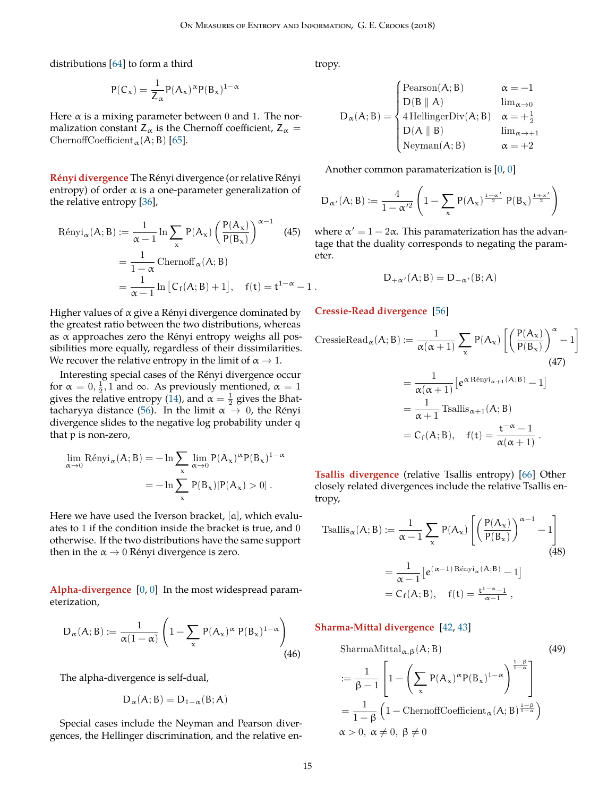<span id="page-14-9"></span>distributions [[64\]](#page-18-9) to form a third

$$
P(C_{x}) = \frac{1}{Z_{\alpha}} P(A_{x})^{\alpha} P(B_{x})^{1-\alpha}
$$

Here  $\alpha$  is a mixing parameter between 0 and 1. The normalization constant  $Z_\alpha$  is the Chernoff coefficient,  $Z_\alpha =$ ChernoffCoefficient<sub>α</sub> $(A; B)$  [\[65](#page-18-10)].

<span id="page-14-0"></span>**Rényi divergence** The Rényi divergence (or relative Rényi entropy) of order  $\alpha$  is a one-parameter generalization of the relative entropy [\[36](#page-17-14)],

$$
\begin{aligned} \text{Rényi}_{\alpha}(A;B) &:= \frac{1}{\alpha - 1} \ln \sum_{x} P(A_x) \left( \frac{P(A_x)}{P(B_x)} \right)^{\alpha - 1} \quad \text{(45)} \quad \text{if} \\ &= \frac{1}{1 - \alpha} \text{Chernoff}_{\alpha}(A;B) \quad \text{if} \\ &= \frac{1}{\alpha - 1} \ln \left[ C_f(A;B) + 1 \right], \quad \text{f(t)} = t^{1 - \alpha} - 1 \,. \end{aligned}
$$

Higher values of  $\alpha$  give a Rényi divergence dominated by the greatest ratio between the two distributions, whereas as  $\alpha$  approaches zero the Rényi entropy weighs all possibilities more equally, regardless of their dissimilarities. We recover the relative entropy in the limit of  $\alpha \rightarrow 1$ .

Interesting special cases of the Rényi divergence occur for  $\alpha = 0, \frac{1}{2}, 1$  and  $\infty$ . As previously mentioned,  $\alpha = 1$ gives the relative entropy ([14](#page-6-7)), and  $\alpha = \frac{1}{2}$  gives the Bhat-tacharyya distance ([56\)](#page-15-16). In the limit  $\alpha \to 0$ , the Rényi divergence slides to the negative log probability under q that p is non-zero,

$$
\lim_{\alpha \to 0} \text{Rényi}_{\alpha}(A; B) = -\ln \sum_{x} \lim_{\alpha \to 0} P(A_x)^{\alpha} P(B_x)^{1-\alpha}
$$

$$
= -\ln \sum_{x} P(B_x)[P(A_x) > 0].
$$

Here we have used the Iverson bracket, [a], which evaluates to 1 if the condition inside the bracket is true, and 0 otherwise. If the two distributions have the same support then in the  $\alpha \rightarrow 0$  Rényi divergence is zero.

<span id="page-14-1"></span>**Alpha-divergence** [[0,](#page-16-23) [0\]](#page-16-23) In the most widespread parameterization,

$$
D_{\alpha}(A;B) := \frac{1}{\alpha(1-\alpha)} \left(1 - \sum_{x} P(A_x)^{\alpha} P(B_x)^{1-\alpha}\right)
$$
(46)

The alpha-divergence is self-dual,

$$
D_{\alpha}(A;B) = D_{1-\alpha}(B;A)
$$

Special cases include the Neyman and Pearson divergences, the Hellinger discrimination, and the relative entropy.

$$
D_{\alpha}(A;B) = \begin{cases} \text{Pearson}(A;B) & \alpha = -1 \\ D(B \parallel A) & \lim_{\alpha \to 0} \\ 4 \text{ HellingerDiv}(A;B) & \alpha = +\frac{1}{2} \\ D(A \parallel B) & \lim_{\alpha \to +1} \\ \text{Neyman}(A;B) & \alpha = +2 \end{cases}
$$

Another common paramaterization is [[0,](#page-16-23) [0\]](#page-16-23)

$$
D_{\alpha'}(A;B) := \frac{4}{1-\alpha'^2} \left(1 - \sum_{x} P(A_x)^{\frac{1-\alpha'}{2}} P(B_x)^{\frac{1+\alpha'}{2}} \right)
$$

<span id="page-14-5"></span>where  $\alpha' = 1 - 2\alpha$ . This paramaterization has the advantage that the duality corresponds to negating the parameter.

<span id="page-14-6"></span>
$$
D_{+\alpha'}(A;B) = D_{-\alpha'}(B;A)
$$

<span id="page-14-2"></span>**Cressie-Read divergence** [\[56](#page-18-1)]

CressieRead<sub>$$
\alpha
$$</sub>(A; B) :=  $\frac{1}{\alpha(\alpha + 1)} \sum_{x} P(A_x) \left[ \left( \frac{P(A_x)}{P(B_x)} \right)^{\alpha} - 1 \right]$   
\n
$$
= \frac{1}{\alpha(\alpha + 1)} \left[ e^{\alpha \text{R\'enyi}_{\alpha+1}(A; B)} - 1 \right]
$$
\n
$$
= \frac{1}{\alpha + 1} \text{Tsallis}_{\alpha+1}(A; B)
$$
\n
$$
= C_f(A; B), \quad f(t) = \frac{t^{-\alpha} - 1}{\alpha(\alpha + 1)}.
$$

<span id="page-14-3"></span>**Tsallis divergence** (relative Tsallis entropy) [\[66](#page-18-11)] Other closely related divergences include the relative Tsallis entropy,

<span id="page-14-7"></span>Tsallis<sub>$$
\alpha
$$</sub>(A; B) :=  $\frac{1}{\alpha - 1} \sum_{x} P(A_x) \left[ \left( \frac{P(A_x)}{P(B_x)} \right)^{\alpha - 1} - 1 \right]$   
\n
$$
= \frac{1}{\alpha - 1} \left[ e^{(\alpha - 1) \operatorname{Rényi}_{\alpha}(A; B)} - 1 \right]
$$
\n
$$
= C_f(A; B), \quad f(t) = \frac{t^{1 - \alpha} - 1}{\alpha - 1},
$$
\n(48)

<span id="page-14-8"></span><span id="page-14-4"></span>**Sharma-Mittal divergence** [\[42](#page-17-20), [43](#page-17-21)]

SharmaMittala<sub>$$
\alpha, \beta
$$</sub>(A; B) (49)  
\n
$$
:= \frac{1}{\beta - 1} \left[ 1 - \left( \sum_{x} P(A_x)^{\alpha} P(B_x)^{1-\alpha} \right)^{\frac{1-\beta}{1-\alpha}} \right]
$$
\n
$$
= \frac{1}{1-\beta} \left( 1 - \text{ChernoffCoefficient}_{\alpha}(A; B)^{\frac{1-\beta}{1-\alpha}} \right)
$$
\n
$$
\alpha > 0, \ \alpha \neq 0, \ \beta \neq 0
$$
 (49)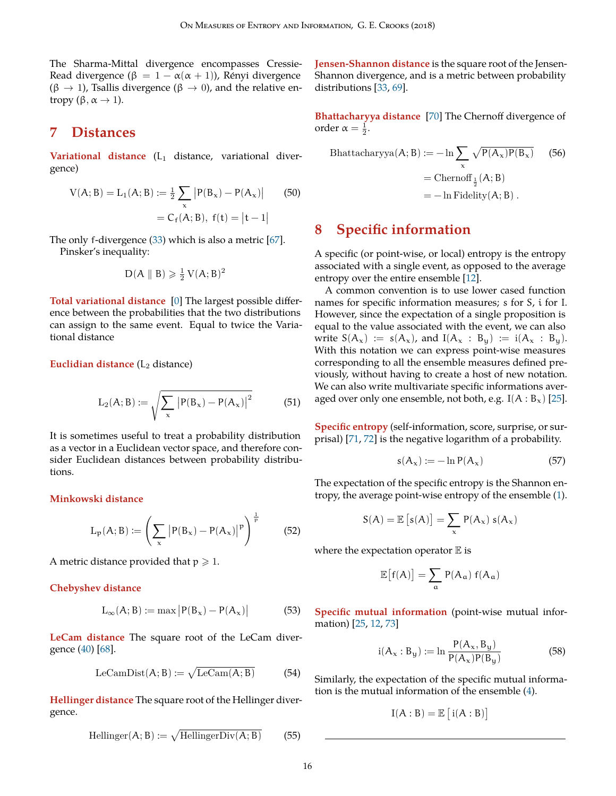<span id="page-15-18"></span>The Sharma-Mittal divergence encompasses Cressie-Read divergence ( $\beta = 1 - \alpha(\alpha + 1)$ ), Rényi divergence (β *→* 1), Tsallis divergence (β *→* 0), and the relative entropy  $(\beta, \alpha \rightarrow 1)$ .

# <span id="page-15-0"></span>**7 Distances**

<span id="page-15-1"></span>**Variational distance** (L<sub>1</sub> distance, variational divergence)

$$
V(A; B) = L_1(A; B) := \frac{1}{2} \sum_{x} |P(B_x) - P(A_x)|
$$
(50)  
= C<sub>f</sub>(A; B), f(t) = |t - 1|

The only f-divergence ([33\)](#page-11-6) which is also a metric [\[67](#page-18-12)]. Pinsker's inequality:

$$
D(A \parallel B) \geqslant \frac{1}{2} V(A; B)^2
$$

<span id="page-15-2"></span>**Total variational distance** [\[0](#page-16-23)] The largest possible difference between the probabilities that the two distributions can assign to the same event. Equal to twice the Variational distance

<span id="page-15-3"></span>**Euclidian distance** (L<sub>2</sub> distance)

$$
L_2(A; B) := \sqrt{\sum_{x} |P(B_x) - P(A_x)|^2}
$$
(51)

It is sometimes useful to treat a probability distribution as a vector in a Euclidean vector space, and therefore consider Euclidean distances between probability distributions.

#### <span id="page-15-4"></span>**Minkowski distance**

$$
L_p(A; B) := \left(\sum_{x} |P(B_x) - P(A_x)|^p\right)^{\frac{1}{p}}
$$
 (52)

A metric distance provided that  $p \ge 1$ .

#### <span id="page-15-5"></span>**Chebyshev distance**

$$
L_{\infty}(A; B) := \max |P(B_x) - P(A_x)| \tag{53}
$$

<span id="page-15-6"></span>**LeCam distance** The square root of the LeCam divergence ([40](#page-13-11)) [[68\]](#page-18-13).

$$
LeCamDist(A; B) := \sqrt{LeCam(A; B)}
$$
 (54)

<span id="page-15-7"></span>**Hellinger distance** The square root of the Hellinger divergence.

$$
\text{Hellinger}(A; B) := \sqrt{\text{HellingerDiv}(A; B)} \tag{55}
$$

<span id="page-15-8"></span>**Jensen-Shannon distance** is the square root of the Jensen-Shannon divergence, and is a metric between probability distributions [\[33](#page-17-11), [69](#page-18-14)].

<span id="page-15-9"></span>**Bhattacharyya distance** [[70\]](#page-18-15) The Chernoff divergence of order  $\alpha = \frac{1}{2}$ .

<span id="page-15-16"></span>Bhattacharyya(A; B) := 
$$
-\ln \sum_{x} \sqrt{P(A_x)P(B_x)}
$$
 (56)  
= Chernoff  $\frac{1}{2}$ (A; B)  
=  $-\ln \text{Fidelity}(A; B)$ .

# <span id="page-15-17"></span><span id="page-15-10"></span>**8 Specific information**

A specific (or point-wise, or local) entropy is the entropy associated with a single event, as opposed to the average entropy over the entire ensemble [\[12](#page-16-13)].

A common convention is to use lower cased function names for specific information measures; s for S, i for I. However, since the expectation of a single proposition is equal to the value associated with the event, we can also write  $S(A_x) := s(A_x)$ , and  $I(A_x : B_y) := i(A_x : B_y)$ . With this notation we can express point-wise measures corresponding to all the ensemble measures defined previously, without having to create a host of new notation. We can also write multivariate specific informations averaged over only one ensemble, not both, e.g.  $I(A : B_x)$  [\[25](#page-17-3)].

<span id="page-15-11"></span>**Specific entropy** (self-information, score, surprise, or surprisal) [[71,](#page-18-16) [72\]](#page-18-17) is the negative logarithm of a probability.

<span id="page-15-15"></span>
$$
s(A_x) := -\ln P(A_x) \tag{57}
$$

The expectation of the specific entropy is the Shannon entropy, the average point-wise entropy of the ensemble [\(1](#page-2-9)).

$$
S(A) = \mathbb{E}\left[s(A)\right] = \sum_{x} P(A_x) \; s(A_x)
$$

where the expectation operator  $E$  is

$$
\mathbb{E}\big[f(A)\big] = \sum_{\alpha} P(A_{\alpha}) f(A_{\alpha})
$$

<span id="page-15-12"></span>**Specific mutual information** (point-wise mutual information) [\[25](#page-17-3), [12](#page-16-13), [73](#page-18-18)]

<span id="page-15-13"></span>
$$
i(A_x : B_y) := \ln \frac{P(A_x, B_y)}{P(A_x)P(B_y)}
$$
(58)

<span id="page-15-14"></span>Similarly, the expectation of the specific mutual information is the mutual information of the ensemble ([4](#page-2-7)).

$$
I(A:B) = \mathbb{E}\left[i(A:B)\right]
$$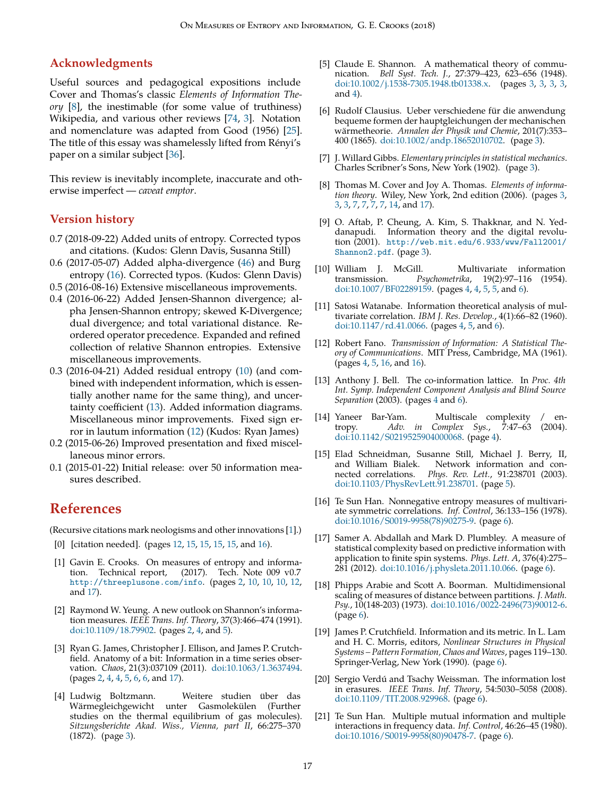#### <span id="page-16-24"></span><span id="page-16-0"></span>**Acknowledgments**

Useful sources and pedagogical expositions include Cover and Thomas's classic *Elements of Information Theory* [\[8](#page-16-9)], the inestimable (for some value of truthiness) Wikipedia, and various other reviews [\[74](#page-18-19), [3](#page-16-4)]. Notation and nomenclature was adapted from Good (1956) [[25\]](#page-17-3). The title of this essay was shamelessly lifted from Renyi's ´ paper on a similar subject [\[36](#page-17-14)].

This review is inevitably incomplete, inaccurate and otherwise imperfect — *caveat emptor*.

#### <span id="page-16-1"></span>**Version history**

- 0.7 (2018-09-22) Added units of entropy. Corrected typos and citations. (Kudos: Glenn Davis, Susanna Still)
- 0.6 (2017-05-07) Added alpha-divergence ([46\)](#page-14-8) and Burg entropy ([16\)](#page-6-13). Corrected typos. (Kudos: Glenn Davis)
- 0.5 (2016-08-16) Extensive miscellaneous improvements.
- 0.4 (2016-06-22) Added Jensen-Shannon divergence; alpha Jensen-Shannon entropy; skewed K-Divergence; dual divergence; and total variational distance. Reordered operator precedence. Expanded and refined collection of relative Shannon entropies. Extensive miscellaneous improvements.
- 0.3 (2016-04-21) Added residual entropy ([10\)](#page-5-6) (and combined with independent information, which is essentially another name for the same thing), and uncertainty coefficient ([13\)](#page-6-12). Added information diagrams. Miscellaneous minor improvements. Fixed sign error in lautum information [\(12](#page-5-5)) (Kudos: Ryan James)
- 0.2 (2015-06-26) Improved presentation and fixed miscellaneous minor errors.
- 0.1 (2015-01-22) Initial release: over 50 information measures described.

# **References**

(Recursive citations mark neologisms and other innovations [\[1\]](#page-16-2).)

- <span id="page-16-23"></span>[0] [citation needed]. (pages [12,](#page-11-10) [15](#page-14-9), [15,](#page-14-9) [15](#page-14-9), [15,](#page-14-9) and [16\)](#page-15-18).
- <span id="page-16-2"></span>[1] Gavin E. Crooks. On measures of entropy and information. Technical report, (2017). Tech. Note 009 v0.7 <http://threeplusone.com/info>. (pages [2,](#page-1-2) [10,](#page-9-8) [10,](#page-9-8) [10,](#page-9-8) [12,](#page-11-10) and [17\)](#page-16-24).
- <span id="page-16-3"></span>[2] Raymond W. Yeung. A new outlook on Shannon's information measures. *IEEE Trans. Inf. Theory*, 37(3):466–474 (1991). [doi:10.1109/18.79902.](http://dx.doi.org/10.1109/18.79902) (pages [2,](#page-1-2) [4,](#page-3-2) and [5](#page-4-3)).
- <span id="page-16-4"></span>[3] Ryan G. James, Christopher J. Ellison, and James P. Crutchfield. Anatomy of a bit: Information in a time series observation. *Chaos*, 21(3):037109 (2011). [doi:10.1063/1.3637494](http://dx.doi.org/10.1063/1.3637494). (pages [2,](#page-1-2) [4,](#page-3-2) [4,](#page-3-2) [5,](#page-4-3) [6,](#page-5-7) [6,](#page-5-7) and [17](#page-16-24)).
- <span id="page-16-5"></span>[4] Ludwig Boltzmann. Weitere studien über das Wärmegleichgewicht unter Gasmolekülen (Further studies on the thermal equilibrium of gas molecules). *Sitzungsberichte Akad. Wiss., Vienna, part II*, 66:275–370 (1872). (page [3\)](#page-2-10).
- <span id="page-16-6"></span>[5] Claude E. Shannon. A mathematical theory of communication. *Bell Syst. Tech. J.*, 27:379–423, 623–656 (1948). [doi:10.1002/j.1538-7305.1948.tb01338.x.](http://dx.doi.org/10.1002/j.1538-7305.1948.tb01338.x) (pages [3,](#page-2-10) [3](#page-2-10), [3](#page-2-10), [3](#page-2-10), and [4\)](#page-3-2).
- <span id="page-16-7"></span>[6] Rudolf Clausius. Ueber verschiedene für die anwendung bequeme formen der hauptgleichungen der mechanischen warmetheorie. ¨ *Annalen der Physik und Chemie*, 201(7):353– 400 (1865). [doi:10.1002/andp.18652010702.](http://dx.doi.org/10.1002/andp.18652010702) (page [3](#page-2-10)).
- <span id="page-16-8"></span>[7] J. Willard Gibbs. *Elementary principles in statistical mechanics*. Charles Scribner's Sons, New York (1902). (page [3\)](#page-2-10).
- <span id="page-16-9"></span>[8] Thomas M. Cover and Joy A. Thomas. *Elements of information theory*. Wiley, New York, 2nd edition (2006). (pages [3](#page-2-10), [3](#page-2-10), [3](#page-2-10), [7](#page-6-14), [7](#page-6-14), [7](#page-6-14), [7](#page-6-14), [14,](#page-13-12) and [17\)](#page-16-24).
- <span id="page-16-10"></span>[9] O. Aftab, P. Cheung, A. Kim, S. Thakknar, and N. Yeddanapudi. Information theory and the digital revolution (2001). [http://web.mit.edu/6.933/www/Fall2001/](http://web.mit.edu/6.933/www/Fall2001/Shannon2.pdf) [Shannon2.pdf](http://web.mit.edu/6.933/www/Fall2001/Shannon2.pdf). (page [3\)](#page-2-10).
- <span id="page-16-11"></span>[10] William J. McGill. Multivariate information Psychometrika, 19(2):97-116 (1954). [doi:10.1007/BF02289159](http://dx.doi.org/10.1007/BF02289159). (pages [4](#page-3-2), [4](#page-3-2), [5](#page-4-3), [5,](#page-4-3) and [6](#page-5-7)).
- <span id="page-16-12"></span>[11] Satosi Watanabe. Information theoretical analysis of multivariate correlation. *IBM J. Res. Develop.*, 4(1):66–82 (1960). [doi:10.1147/rd.41.0066](http://dx.doi.org/10.1147/rd.41.0066). (pages [4](#page-3-2), [5,](#page-4-3) and [6](#page-5-7)).
- <span id="page-16-13"></span>[12] Robert Fano. *Transmission of Information: A Statistical Theory of Communications*. MIT Press, Cambridge, MA (1961). (pages [4](#page-3-2), [5](#page-4-3), [16,](#page-15-18) and [16](#page-15-18)).
- <span id="page-16-14"></span>[13] Anthony J. Bell. The co-information lattice. In *Proc. 4th Int. Symp. Independent Component Analysis and Blind Source Separation* (2003). (pages [4](#page-3-2) and [6\)](#page-5-7).
- <span id="page-16-15"></span>[14] Yaneer Bar-Yam. Multiscale complexity / entropy. *Adv. in Complex Sys.*, 7:47–63 (2004). [doi:10.1142/S0219525904000068](http://dx.doi.org/10.1142/S0219525904000068). (page [4](#page-3-2)).
- <span id="page-16-16"></span>[15] Elad Schneidman, Susanne Still, Michael J. Berry, II, and William Bialek. Network information and connected correlations. Phys. Rev. Lett., 91:238701 (2003). nected correlations. *Phys. Rev. Lett.*, 91:238701 (2003). [doi:10.1103/PhysRevLett.91.238701.](http://dx.doi.org/10.1103/PhysRevLett.91.238701) (page [5](#page-4-3)).
- <span id="page-16-17"></span>[16] Te Sun Han. Nonnegative entropy measures of multivariate symmetric correlations. *Inf. Control*, 36:133–156 (1978). [doi:10.1016/S0019-9958\(78\)90275-9](http://dx.doi.org/10.1016/S0019-9958(78)90275-9). (page [6](#page-5-7)).
- <span id="page-16-18"></span>[17] Samer A. Abdallah and Mark D. Plumbley. A measure of statistical complexity based on predictive information with application to finite spin systems. *Phys. Lett. A*, 376(4):275– 281 (2012). [doi:10.1016/j.physleta.2011.10.066.](http://dx.doi.org/10.1016/j.physleta.2011.10.066) (page [6\)](#page-5-7).
- <span id="page-16-19"></span>[18] Phipps Arabie and Scott A. Boorman. Multidimensional scaling of measures of distance between partitions. *J. Math. Psy.*, 10(148-203) (1973). [doi:10.1016/0022-2496\(73\)90012-6.](http://dx.doi.org/10.1016/0022-2496(73)90012-6) (page [6](#page-5-7)).
- <span id="page-16-20"></span>[19] James P. Crutchfield. Information and its metric. In L. Lam and H. C. Morris, editors, *Nonlinear Structures in Physical Systems – Pattern Formation, Chaos and Waves*, pages 119–130. Springer-Verlag, New York (1990). (page [6\)](#page-5-7).
- <span id="page-16-21"></span>[20] Sergio Verdú and Tsachy Weissman. The information lost in erasures. *IEEE Trans. Inf. Theory*, 54:5030–5058 (2008). [doi:10.1109/TIT.2008.929968](http://dx.doi.org/10.1109/TIT.2008.929968). (page [6](#page-5-7)).
- <span id="page-16-22"></span>[21] Te Sun Han. Multiple mutual information and multiple interactions in frequency data. *Inf. Control*, 46:26–45 (1980). [doi:10.1016/S0019-9958\(80\)90478-7](http://dx.doi.org/10.1016/S0019-9958(80)90478-7). (page [6](#page-5-7)).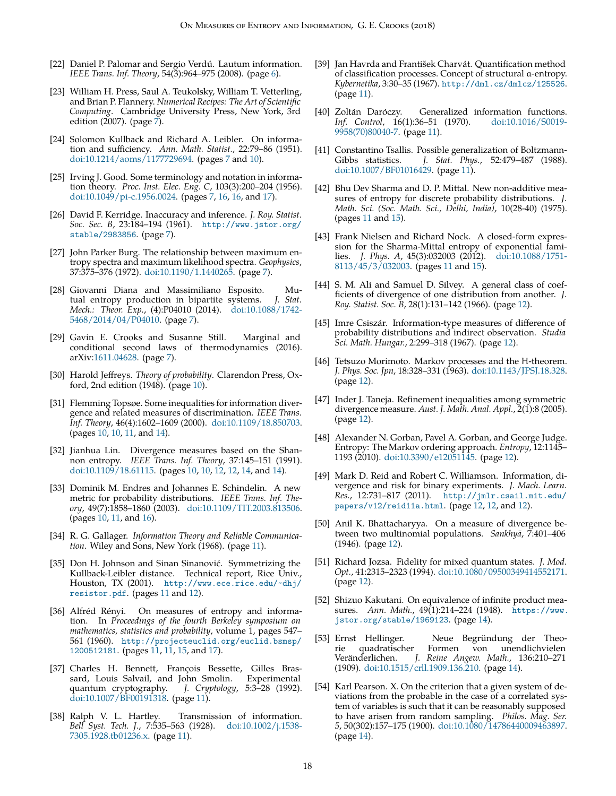- <span id="page-17-0"></span>[22] Daniel P. Palomar and Sergio Verdú. Lautum information. *IEEE Trans. Inf. Theory*, 54(3):964–975 (2008). (page [6](#page-5-7)).
- <span id="page-17-1"></span>[23] William H. Press, Saul A. Teukolsky, William T. Vetterling, and Brian P. Flannery. *Numerical Recipes: The Art of Scientific Computing*. Cambridge University Press, New York, 3rd edition (200[7\)](#page-6-14). (page  $\overline{7}$ ).
- <span id="page-17-2"></span>[24] Solomon Kullback and Richard A. Leibler. On information and sufficiency. *Ann. Math. Statist.*, 22:79–86 (1951). [doi:10.1214/aoms/1177729694.](http://dx.doi.org/10.1214/aoms/1177729694) (pages [7](#page-6-14) and [10](#page-9-8)).
- <span id="page-17-3"></span>[25] Irving J. Good. Some terminology and notation in information theory. *Proc. Inst. Elec. Eng. C*, 103(3):200–204 (1956). [doi:10.1049/pi-c.1956.0024.](http://dx.doi.org/10.1049/pi-c.1956.0024) (pages [7,](#page-6-14) [16](#page-15-18), [16](#page-15-18), and [17](#page-16-24)).
- <span id="page-17-4"></span>[26] David F. Kerridge. Inaccuracy and inference. *J. Roy. Statist. Soc. Sec. B*, 23:184–194 (1961). [http://www.jstor.org/](http://www.jstor.org/stable/2983856) [stable/2983856](http://www.jstor.org/stable/2983856). (page [7\)](#page-6-14).
- <span id="page-17-5"></span>[27] John Parker Burg. The relationship between maximum entropy spectra and maximum likelihood spectra. *Geophysics*, 37:375–376 (1972). [doi:10.1190/1.1440265.](http://dx.doi.org/10.1190/1.1440265) (page [7\)](#page-6-14).
- <span id="page-17-6"></span>[28] Giovanni Diana and Massimiliano Esposito. Mutual entropy production in bipartite systems. *J. Stat. Mech.: Theor. Exp.*, (4):P04010 (2014). [doi:10.1088/1742-](http://dx.doi.org/10.1088/1742-5468/2014/04/P04010) [5468/2014/04/P04010](http://dx.doi.org/10.1088/1742-5468/2014/04/P04010). (page [7\)](#page-6-14).
- <span id="page-17-7"></span>[29] Gavin E. Crooks and Susanne Still. Marginal and conditional second laws of thermodynamics (2016). arXiv[:1611.04628](http://arxiv.org/abs/1611.04628). (page [7](#page-6-14)).
- <span id="page-17-8"></span>[30] Harold Jeffreys. *Theory of probability*. Clarendon Press, Oxford, 2nd edition (1948). (page [10\)](#page-9-8).
- <span id="page-17-10"></span>[31] Flemming Topsøe. Some inequalities for information divergence and related measures of discrimination. *IEEE Trans. Inf. Theory*, 46(4):1602–1609 (2000). [doi:10.1109/18.850703](http://dx.doi.org/10.1109/18.850703). (pages [10](#page-9-8), [10,](#page-9-8) [11](#page-10-10), and [14\)](#page-13-12).
- <span id="page-17-9"></span>[32] Jianhua Lin. Divergence measures based on the Shannon entropy. *IEEE Trans. Inf. Theory*, 37:145–151 (1991). [doi:10.1109/18.61115.](http://dx.doi.org/10.1109/18.61115) (pages [10](#page-9-8), [10,](#page-9-8) [12](#page-11-10), [12,](#page-11-10) [14](#page-13-12), and [14](#page-13-12)).
- <span id="page-17-11"></span>[33] Dominik M. Endres and Johannes E. Schindelin. A new metric for probability distributions. *IEEE Trans. Inf. Theory*, 49(7):1858–1860 (2003). [doi:10.1109/TIT.2003.813506](http://dx.doi.org/10.1109/TIT.2003.813506). (pages [10](#page-9-8), [11,](#page-10-10) and [16\)](#page-15-18).
- <span id="page-17-12"></span>[34] R. G. Gallager. *Information Theory and Reliable Communication*. Wiley and Sons, New York (1968). (page [11\)](#page-10-10).
- <span id="page-17-13"></span>[35] Don H. Johnson and Sinan Sinanović. Symmetrizing the Kullback-Leibler distance. Technical report, Rice Univ., Houston, TX (2001). http://www.ece.rice.edu/~dhj/ [resistor.pdf](http://www.ece.rice.edu/~dhj/resistor.pdf). (pages [11](#page-10-10) and [12](#page-11-10)).
- <span id="page-17-14"></span>[36] Alfréd Rényi. On measures of entropy and information. In *Proceedings of the fourth Berkeley symposium on mathematics, statistics and probability*, volume 1, pages 547– 561 (1960). [http://projecteuclid.org/euclid.bsmsp/](http://projecteuclid.org/ euclid.bsmsp/1200512181) [1200512181](http://projecteuclid.org/ euclid.bsmsp/1200512181). (pages [11,](#page-10-10) [11](#page-10-10), [15,](#page-14-9) and [17\)](#page-16-24).
- <span id="page-17-15"></span>[37] Charles H. Bennett, François Bessette, Gilles Bras-<br>sard, Louis Salvail, and John Smolin. Experimental sard, Louis Salvail, and John Smolin. quantum cryptography. *J. Cryptology*, 5:3–28 (1992). [doi:10.1007/BF00191318.](http://dx.doi.org/10.1007/BF00191318) (page [11](#page-10-10)).
- <span id="page-17-16"></span>[38] Ralph V. L. Hartley. Transmission of information. *Bell Syst. Tech. J.*, 7:535–563 (1928). [doi:10.1002/j.1538-](http://dx.doi.org/10.1002/j.1538-7305.1928.tb01236.x) [7305.1928.tb01236.x](http://dx.doi.org/10.1002/j.1538-7305.1928.tb01236.x). (page [11\)](#page-10-10).
- <span id="page-17-17"></span>[39] Jan Havrda and František Charvát. Quantification method of classification processes. Concept of structural a-entropy. *Kybernetika*, 3:30–35 (1967). <http://dml.cz/dmlcz/125526>. (page [11\)](#page-10-10).
- <span id="page-17-18"></span>[40] Zoltán Daróczy. Generalized information functions.<br>  $Inf.$  Control, 16(1):36-51 (1970).  $\frac{1}{1011016}{50019}$ *Inf.* Control, 16(1):36-51 (1970). [9958\(70\)80040-7.](http://dx.doi.org/10.1016/S0019-9958(70)80040-7) (page [11](#page-10-10)).
- <span id="page-17-19"></span>[41] Constantino Tsallis. Possible generalization of Boltzmann-Gibbs statistics. *J. Stat. Phys.*, 52:479–487 (1988). [doi:10.1007/BF01016429](http://dx.doi.org/10.1007/BF01016429). (page [11\)](#page-10-10).
- <span id="page-17-20"></span>[42] Bhu Dev Sharma and D. P. Mittal. New non-additive measures of entropy for discrete probability distributions. *J. Math. Sci. (Soc. Math. Sci., Delhi, India)*, 10(28-40) (1975). (pages [11](#page-10-10) and [15](#page-14-9)).
- <span id="page-17-21"></span>[43] Frank Nielsen and Richard Nock. A closed-form expression for the Sharma-Mittal entropy of exponential families. *J. Phys. A*, 45(3):032003 (2012). [doi:10.1088/1751-](http://dx.doi.org/10.1088/1751-8113/45/3/032003) [8113/45/3/032003.](http://dx.doi.org/10.1088/1751-8113/45/3/032003) (pages [11](#page-10-10) and [15\)](#page-14-9).
- <span id="page-17-22"></span>[44] S. M. Ali and Samuel D. Silvey. A general class of coefficients of divergence of one distribution from another. *J. Roy. Statist. Soc. B*, 28(1):131–142 (1966). (page [12\)](#page-11-10).
- <span id="page-17-23"></span>[45] Imre Csiszár. Information-type measures of difference of probability distributions and indirect observation. *Studia Sci. Math. Hungar.*, 2:299–318 (1967). (page [12\)](#page-11-10).
- <span id="page-17-24"></span>[46] Tetsuzo Morimoto. Markov processes and the H-theorem. *J. Phys. Soc. Jpn*, 18:328–331 (1963). [doi:10.1143/JPSJ.18.328.](http://dx.doi.org/10.1143/JPSJ.18.328) (page [12\)](#page-11-10).
- <span id="page-17-25"></span>[47] Inder J. Taneja. Refinement inequalities among symmetric divergence measure. *Aust. J. Math. Anal. Appl.*, 2(1):8 (2005). (page [12\)](#page-11-10).
- <span id="page-17-26"></span>[48] Alexander N. Gorban, Pavel A. Gorban, and George Judge. Entropy: The Markov ordering approach. *Entropy*, 12:1145– 1193 (2010). [doi:10.3390/e12051145](http://dx.doi.org/10.3390/e12051145). (page [12\)](#page-11-10).
- <span id="page-17-27"></span>[49] Mark D. Reid and Robert C. Williamson. Information, divergence and risk for binary experiments. *J. Mach. Learn. Res.*, 12:731–817 (2011). [http://jmlr.csail.mit.edu/](http://jmlr.csail.mit.edu/papers/v12/reid11a.html) [papers/v12/reid11a.html](http://jmlr.csail.mit.edu/papers/v12/reid11a.html). (page [12,](#page-11-10) [12](#page-11-10), and [12](#page-11-10)).
- <span id="page-17-28"></span>[50] Anil K. Bhattacharyya. On a measure of divergence between two multinomial populations. *Sankhyā*, 7:401–406 (1946). (page [12](#page-11-10)).
- <span id="page-17-29"></span>[51] Richard Jozsa. Fidelity for mixed quantum states. *J. Mod. Opt.*, 41:2315–2323 (1994). [doi:10.1080/09500349414552171.](http://dx.doi.org/10.1080/09500349414552171) (page [12\)](#page-11-10).
- <span id="page-17-30"></span>[52] Shizuo Kakutani. On equivalence of infinite product measures. *Ann. Math.*, 49(1):214–224 (1948). [https://www.](https://www.jstor.org/stable/1969123) [jstor.org/stable/1969123](https://www.jstor.org/stable/1969123). (page [14\)](#page-13-12).
- <span id="page-17-31"></span>[53] Ernst Hellinger. Neue Begründung der Theo-<br>
ie quadratischer Formen von unendlichvielen rie quadratischer Formen von unendlichvielen<br>Veränderlichen. J. Reine Angew. Math., 136:210–271 J. Reine Angew. Math., 136:210-271 (1909). [doi:10.1515/crll.1909.136.210.](http://dx.doi.org/10.1515/crll.1909.136.210) (page [14\)](#page-13-12).
- <span id="page-17-32"></span>[54] Karl Pearson. X. On the criterion that a given system of deviations from the probable in the case of a correlated system of variables is such that it can be reasonably supposed to have arisen from random sampling. *Philos. Mag. Ser. 5*, 50(302):157–175 (1900). [doi:10.1080/14786440009463897.](http://dx.doi.org/10.1080/14786440009463897) (page [14\)](#page-13-12).